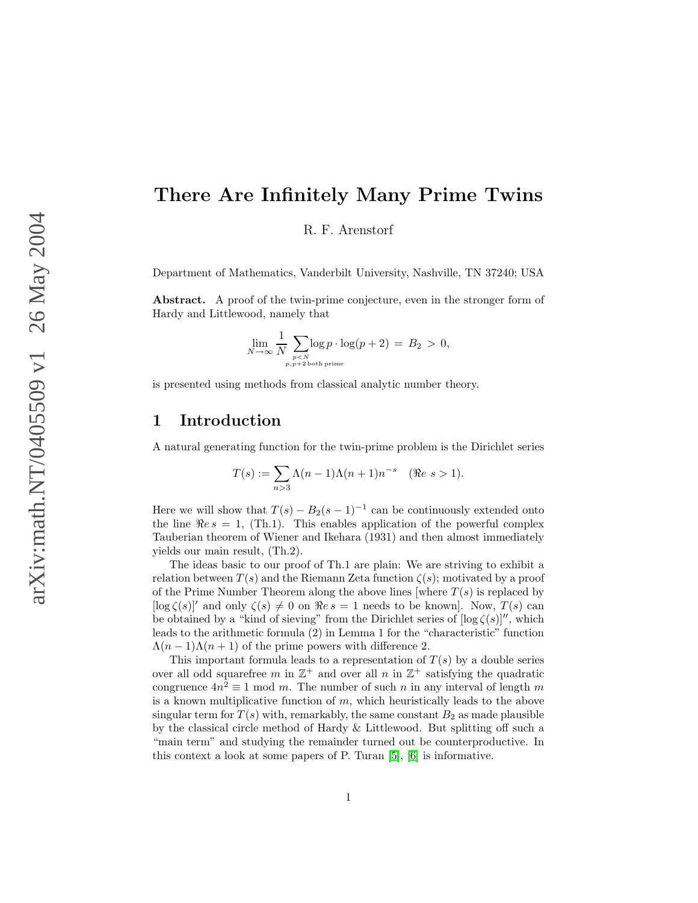# There Are Infinitely Many Prime Twins

R. F. Arenstorf

Department of Mathematics, Vanderbilt University, Nashville, TN 37240; USA

Abstract. A proof of the twin-prime conjecture, even in the stronger form of Hardy and Littlewood, namely that

$$
\lim_{N \to \infty} \frac{1}{N} \sum_{\substack{p < N \\ p, p+2 \text{ both prime}}} \log(p+2) = B_2 > 0,
$$

is presented using methods from classical analytic number theory.

### 1 Introduction

A natural generating function for the twin-prime problem is the Dirichlet series

$$
T(s) := \sum_{n>3} \Lambda(n-1)\Lambda(n+1)n^{-s} \quad (\Re e \ s > 1).
$$

Here we will show that  $T(s) - B_2(s-1)^{-1}$  can be continuously extended onto the line  $\Re e s = 1$ , (Th.1). This enables application of the powerful complex Tauberian theorem of Wiener and Ikehara (1931) and then almost immediately yields our main result, (Th.2).

The ideas basic to our proof of Th.1 are plain: We are striving to exhibit a relation between  $T(s)$  and the Riemann Zeta function  $\zeta(s)$ ; motivated by a proof of the Prime Number Theorem along the above lines [where  $T(s)$  is replaced by  $[\log \zeta(s)]'$  and only  $\zeta(s) \neq 0$  on  $\Rees = 1$  needs to be known]. Now,  $T(s)$  can be obtained by a "kind of sieving" from the Dirichlet series of  $[\log \zeta(s)]''$ , which leads to the arithmetic formula (2) in Lemma 1 for the "characteristic" function  $\Lambda(n-1)\Lambda(n+1)$  of the prime powers with difference 2.

This important formula leads to a representation of  $T(s)$  by a double series over all odd squarefree m in  $\mathbb{Z}^+$  and over all n in  $\mathbb{Z}^+$  satisfying the quadratic congruence  $4n^2 \equiv 1 \mod m$ . The number of such n in any interval of length m is a known multiplicative function of  $m$ , which heuristically leads to the above singular term for  $T(s)$  with, remarkably, the same constant  $B_2$  as made plausible by the classical circle method of Hardy & Littlewood. But splitting off such a "main term" and studying the remainder turned out be counterproductive. In this context a look at some papers of P. Turan [\[5\]](#page-37-0), [\[6\]](#page-37-1) is informative.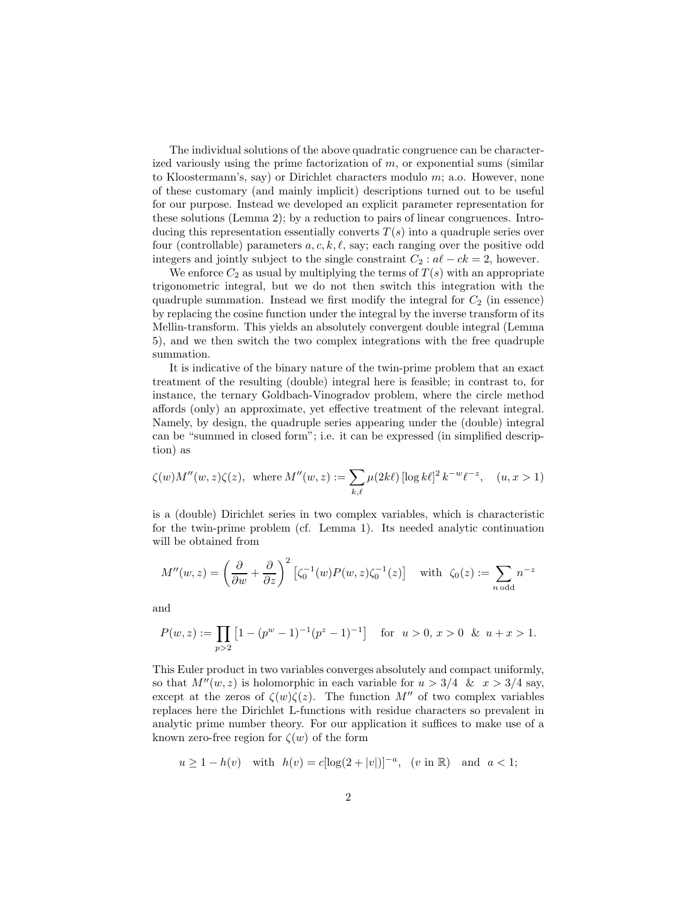The individual solutions of the above quadratic congruence can be characterized variously using the prime factorization of  $m$ , or exponential sums (similar to Kloostermann's, say) or Dirichlet characters modulo  $m$ ; a.o. However, none of these customary (and mainly implicit) descriptions turned out to be useful for our purpose. Instead we developed an explicit parameter representation for these solutions (Lemma 2); by a reduction to pairs of linear congruences. Introducing this representation essentially converts  $T(s)$  into a quadruple series over four (controllable) parameters  $a, c, k, \ell$ , say; each ranging over the positive odd integers and jointly subject to the single constraint  $C_2 : a\ell - ck = 2$ , however.

We enforce  $C_2$  as usual by multiplying the terms of  $T(s)$  with an appropriate trigonometric integral, but we do not then switch this integration with the quadruple summation. Instead we first modify the integral for  $C_2$  (in essence) by replacing the cosine function under the integral by the inverse transform of its Mellin-transform. This yields an absolutely convergent double integral (Lemma 5), and we then switch the two complex integrations with the free quadruple summation.

It is indicative of the binary nature of the twin-prime problem that an exact treatment of the resulting (double) integral here is feasible; in contrast to, for instance, the ternary Goldbach-Vinogradov problem, where the circle method affords (only) an approximate, yet effective treatment of the relevant integral. Namely, by design, the quadruple series appearing under the (double) integral can be "summed in closed form"; i.e. it can be expressed (in simplified description) as

$$
\zeta(w)M''(w,z)\zeta(z), \text{ where } M''(w,z) := \sum_{k,\ell} \mu(2k\ell) \left[ \log k\ell \right]^2 k^{-w}\ell^{-z}, \quad (u, x > 1)
$$

is a (double) Dirichlet series in two complex variables, which is characteristic for the twin-prime problem (cf. Lemma 1). Its needed analytic continuation will be obtained from

$$
M''(w, z) = \left(\frac{\partial}{\partial w} + \frac{\partial}{\partial z}\right)^2 \left[\zeta_0^{-1}(w)P(w, z)\zeta_0^{-1}(z)\right] \quad \text{with} \quad \zeta_0(z) := \sum_{n \text{ odd}} n^{-z}
$$

and

$$
P(w, z) := \prod_{p>2} \left[ 1 - (p^w - 1)^{-1} (p^z - 1)^{-1} \right] \quad \text{for} \ \ u > 0, \ x > 0 \ \& \ u + x > 1.
$$

This Euler product in two variables converges absolutely and compact uniformly, so that  $M''(w, z)$  is holomorphic in each variable for  $u > 3/4$  &  $x > 3/4$  say, except at the zeros of  $\zeta(w)\zeta(z)$ . The function M'' of two complex variables replaces here the Dirichlet L-functions with residue characters so prevalent in analytic prime number theory. For our application it suffices to make use of a known zero-free region for  $\zeta(w)$  of the form

$$
u \ge 1 - h(v)
$$
 with  $h(v) = c[\log(2 + |v|)]^{-a}$ ,  $(v \text{ in } \mathbb{R})$  and  $a < 1$ ;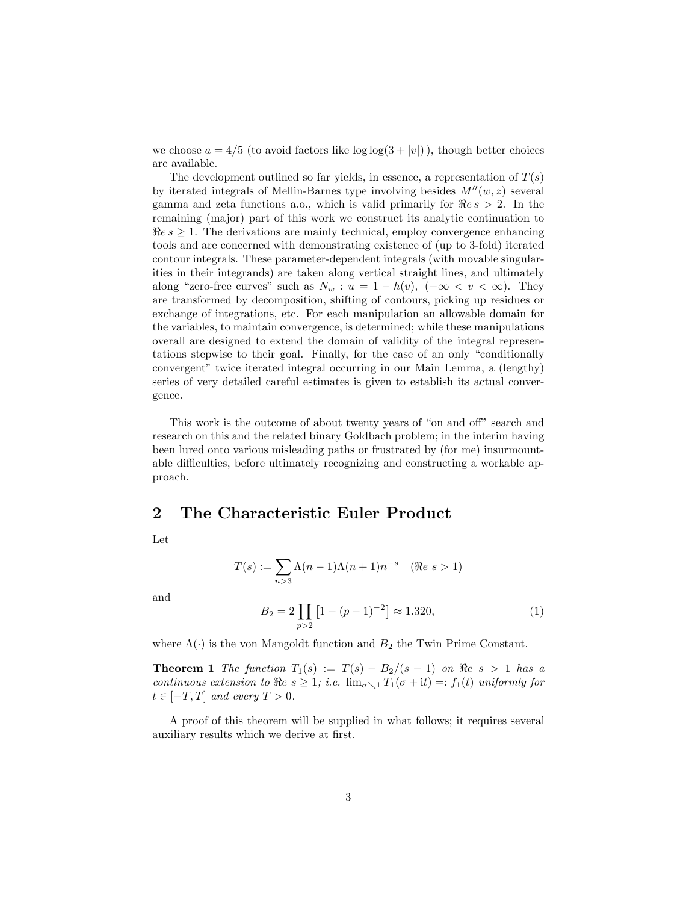we choose  $a = 4/5$  (to avoid factors like  $\log \log(3 + |v|)$ ), though better choices are available.

The development outlined so far yields, in essence, a representation of  $T(s)$ by iterated integrals of Mellin-Barnes type involving besides  $M''(w, z)$  several gamma and zeta functions a.o., which is valid primarily for  $\Re e s > 2$ . In the remaining (major) part of this work we construct its analytic continuation to  $\Re e s \geq 1$ . The derivations are mainly technical, employ convergence enhancing tools and are concerned with demonstrating existence of (up to 3-fold) iterated contour integrals. These parameter-dependent integrals (with movable singularities in their integrands) are taken along vertical straight lines, and ultimately along "zero-free curves" such as  $N_w : u = 1 - h(v)$ ,  $(-\infty < v < \infty)$ . They are transformed by decomposition, shifting of contours, picking up residues or exchange of integrations, etc. For each manipulation an allowable domain for the variables, to maintain convergence, is determined; while these manipulations overall are designed to extend the domain of validity of the integral representations stepwise to their goal. Finally, for the case of an only "conditionally convergent" twice iterated integral occurring in our Main Lemma, a (lengthy) series of very detailed careful estimates is given to establish its actual convergence.

This work is the outcome of about twenty years of "on and off" search and research on this and the related binary Goldbach problem; in the interim having been lured onto various misleading paths or frustrated by (for me) insurmountable difficulties, before ultimately recognizing and constructing a workable approach.

#### 2 The Characteristic Euler Product

Let

$$
T(s) := \sum_{n>3} \Lambda(n-1)\Lambda(n+1)n^{-s} \quad (\Re e \ s > 1)
$$

and

$$
B_2 = 2 \prod_{p>2} \left[ 1 - (p-1)^{-2} \right] \approx 1.320,
$$
 (1)

where  $\Lambda(\cdot)$  is the von Mangoldt function and  $B_2$  the Twin Prime Constant.

**Theorem 1** The function  $T_1(s) := T(s) - B_2/(s-1)$  on  $\Re e \ s > 1$  has a continuous extension to  $\Re e \ s \geq 1$ ; i.e.  $\lim_{\sigma \searrow 1} T_1(\sigma + it) =: f_1(t)$  uniformly for  $t \in [-T, T]$  and every  $T > 0$ .

A proof of this theorem will be supplied in what follows; it requires several auxiliary results which we derive at first.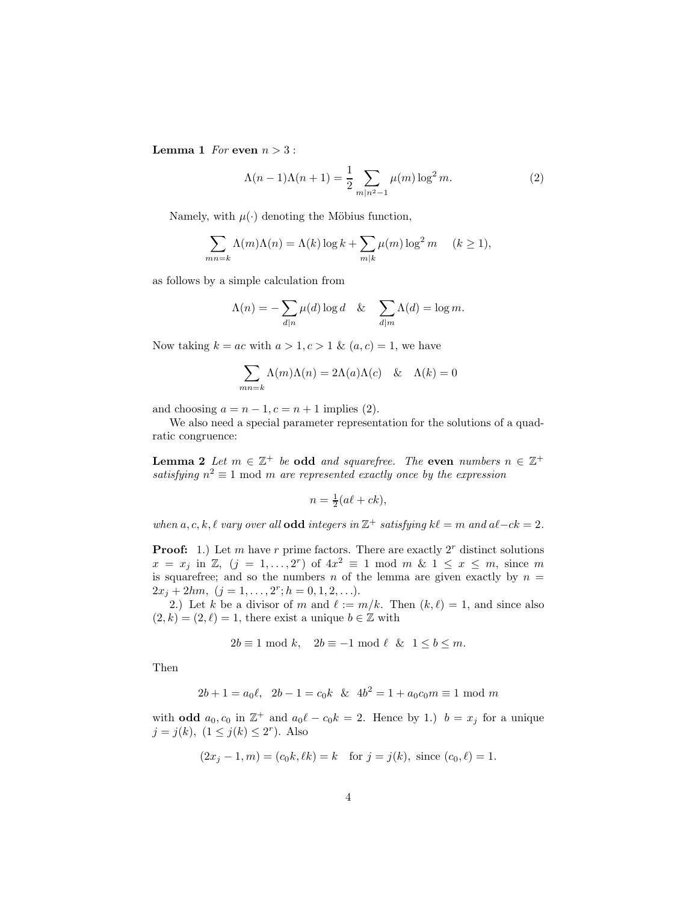**Lemma 1** For even  $n > 3$ :

$$
\Lambda(n-1)\Lambda(n+1) = \frac{1}{2} \sum_{m|n^2-1} \mu(m) \log^2 m.
$$
 (2)

Namely, with  $\mu(\cdot)$  denoting the Möbius function,

$$
\sum_{mn=k} \Lambda(m)\Lambda(n) = \Lambda(k) \log k + \sum_{m|k} \mu(m) \log^2 m \quad (k \ge 1),
$$

as follows by a simple calculation from

$$
\Lambda(n) = -\sum_{d|n} \mu(d) \log d \quad & \sum_{d|m} \Lambda(d) = \log m.
$$

Now taking  $k = ac$  with  $a > 1, c > 1$  &  $(a, c) = 1$ , we have

$$
\sum_{mn=k} \Lambda(m)\Lambda(n) = 2\Lambda(a)\Lambda(c) \quad \& \quad \Lambda(k) = 0
$$

and choosing  $a = n - 1, c = n + 1$  implies (2).

We also need a special parameter representation for the solutions of a quadratic congruence:

**Lemma 2** Let  $m \in \mathbb{Z}^+$  be odd and squarefree. The even numbers  $n \in \mathbb{Z}^+$ satisfying  $n^2 \equiv 1 \mod m$  are represented exactly once by the expression

$$
n = \frac{1}{2}(a\ell + ck),
$$

when a, c, k,  $\ell$  vary over all **odd** integers in  $\mathbb{Z}^+$  satisfying  $k\ell = m$  and  $a\ell - ck = 2$ .

**Proof:** 1.) Let m have r prime factors. There are exactly  $2^r$  distinct solutions  $x = x_j$  in Z,  $(j = 1, ..., 2^r)$  of  $4x^2 \equiv 1 \mod m$  &  $1 \le x \le m$ , since m is squarefree; and so the numbers n of the lemma are given exactly by  $n =$  $2x_j + 2hm, (j = 1, \ldots, 2^r; h = 0, 1, 2, \ldots).$ 

2.) Let k be a divisor of m and  $\ell := m/k$ . Then  $(k, \ell) = 1$ , and since also  $(2, k) = (2, \ell) = 1$ , there exist a unique  $b \in \mathbb{Z}$  with

$$
2b \equiv 1 \mod k, \quad 2b \equiv -1 \mod \ell \quad \& \quad 1 \le b \le m.
$$

Then

$$
2b + 1 = a_0 \ell, \ \ 2b - 1 = c_0 k \ \ \& \ \ 4b^2 = 1 + a_0 c_0 m \equiv 1 \mod m
$$

with **odd**  $a_0, c_0$  in  $\mathbb{Z}^+$  and  $a_0\ell - c_0k = 2$ . Hence by 1.)  $b = x_j$  for a unique  $j = j(k), (1 \leq j(k) \leq 2^r)$ . Also

$$
(2x_j - 1, m) = (c_0 k, \ell k) = k
$$
 for  $j = j(k)$ , since  $(c_0, \ell) = 1$ .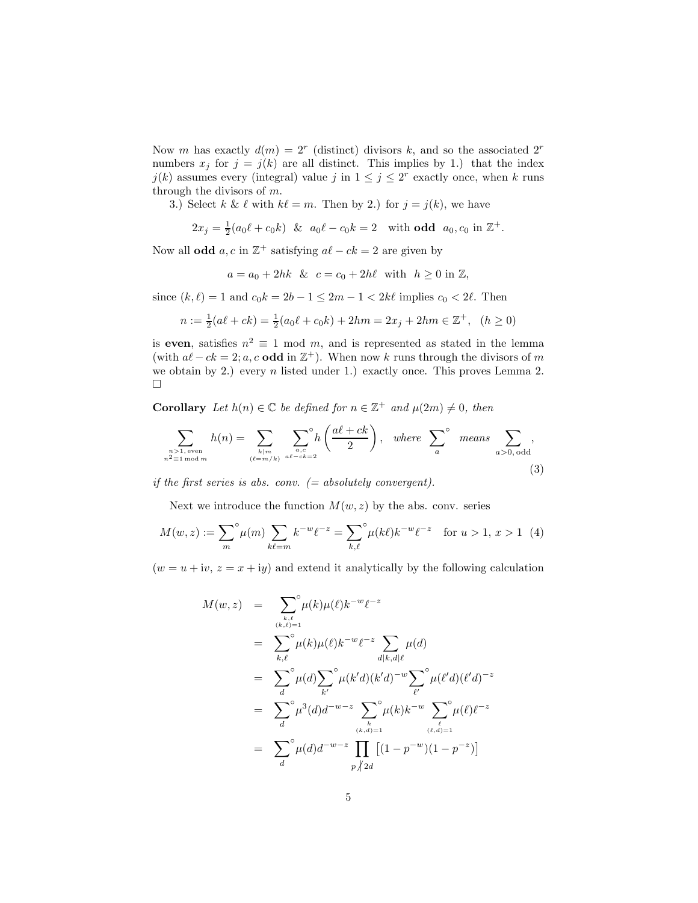Now m has exactly  $d(m) = 2^r$  (distinct) divisors k, and so the associated  $2^r$ numbers  $x_j$  for  $j = j(k)$  are all distinct. This implies by 1.) that the index  $j(k)$  assumes every (integral) value j in  $1 \leq j \leq 2^r$  exactly once, when k runs through the divisors of  $m$ .

3.) Select k &  $\ell$  with  $k\ell = m$ . Then by 2.) for  $j = j(k)$ , we have

$$
2x_j = \frac{1}{2}(a_0\ell + c_0k)
$$
 &  $a_0\ell - c_0k = 2$  with odd  $a_0, c_0$  in  $\mathbb{Z}^+$ .

Now all **odd**  $a, c$  in  $\mathbb{Z}^+$  satisfying  $a\ell - ck = 2$  are given by

$$
a = a_0 + 2hk
$$
 &  $c = c_0 + 2h\ell$  with  $h \ge 0$  in Z,

since  $(k, \ell) = 1$  and  $c_0 k = 2b - 1 \leq 2m - 1 < 2k\ell$  implies  $c_0 < 2\ell$ . Then

$$
n := \frac{1}{2}(a\ell + ck) = \frac{1}{2}(a_0\ell + c_0k) + 2hm = 2x_j + 2hm \in \mathbb{Z}^+, \quad (h \ge 0)
$$

is even, satisfies  $n^2 \equiv 1 \mod m$ , and is represented as stated in the lemma (with  $a\ell - ck = 2$ ; a, c **odd** in  $\mathbb{Z}^+$ ). When now k runs through the divisors of m we obtain by 2.) every n listed under 1.) exactly once. This proves Lemma 2.  $\Box$ 

**Corollary** Let  $h(n) \in \mathbb{C}$  be defined for  $n \in \mathbb{Z}^+$  and  $\mu(2m) \neq 0$ , then

$$
\sum_{\substack{n>1, \text{ even} \\ n^2 \equiv 1 \bmod m}} h(n) = \sum_{\substack{k|m \\ (\ell=m/k)}} \sum_{\substack{a,c \\ a\ell-ck=2}}^{\circ} h\left(\frac{a\ell+ck}{2}\right), \text{ where } \sum_{a}^{\circ} \text{ means } \sum_{a>0, \text{ odd}}^{\circ},
$$
\n(3)

if the first series is abs. conv.  $(= absolutely \ convergent).$ 

Next we introduce the function  $M(w, z)$  by the abs. conv. series

$$
M(w, z) := \sum_{m}^{\infty} \mu(m) \sum_{k \ell = m} k^{-w} \ell^{-z} = \sum_{k, \ell}^{\infty} \mu(k\ell) k^{-w} \ell^{-z} \quad \text{for } u > 1, x > 1 \tag{4}
$$

 $(w = u + iv, z = x + iy)$  and extend it analytically by the following calculation

$$
M(w, z) = \sum_{\substack{k,\ell \\ (k,\ell)=1}}^{\infty} \mu(k)\mu(\ell)k^{-w}\ell^{-z}
$$
  
\n
$$
= \sum_{k,\ell}^{\infty} \mu(k)\mu(\ell)k^{-w}\ell^{-z} \sum_{d|k,d|\ell} \mu(d)
$$
  
\n
$$
= \sum_{d}^{\infty} \mu(d) \sum_{k'}^{\infty} \mu(k'd)(k'd)^{-w} \sum_{\ell'}^{\infty} \mu(\ell'd)(\ell'd)^{-z}
$$
  
\n
$$
= \sum_{d}^{\infty} \mu(d)d^{-w-z} \sum_{\substack{k \\ (k,d)=1}}^{\infty} \mu(k)k^{-w} \sum_{\substack{\ell \\ (\ell,d)=1}}^{\infty} \mu(\ell)\ell^{-z}
$$
  
\n
$$
= \sum_{d}^{\infty} \mu(d)d^{-w-z} \prod_{p \nmid 2d} [(1-p^{-w})(1-p^{-z})]
$$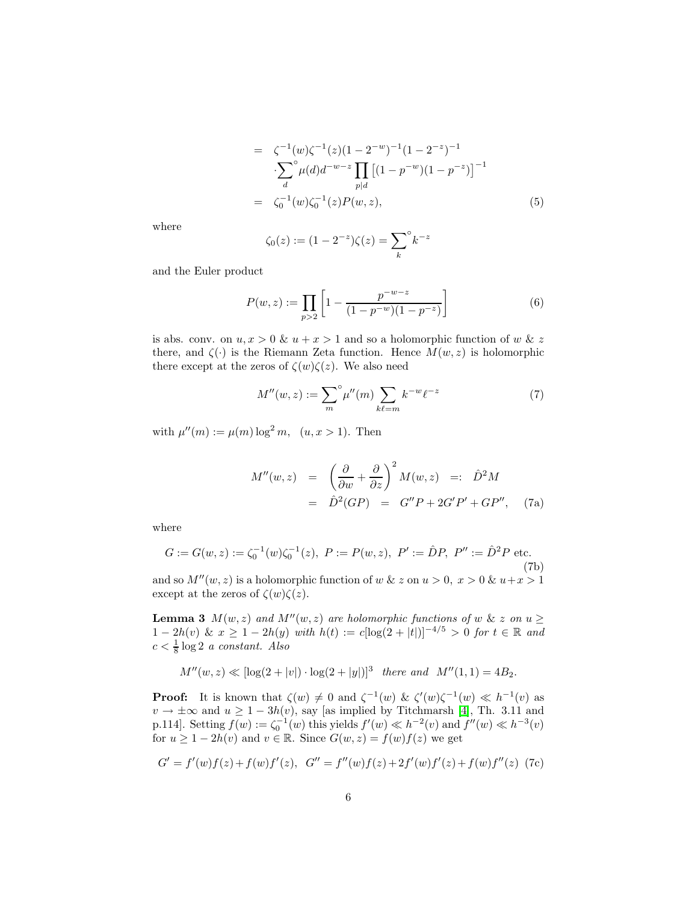$$
= \zeta^{-1}(w)\zeta^{-1}(z)(1 - 2^{-w})^{-1}(1 - 2^{-z})^{-1}
$$

$$
\cdot \sum_{d}^{\infty} \mu(d)d^{-w-z} \prod_{p|d} [(1 - p^{-w})(1 - p^{-z})]^{-1}
$$

$$
= \zeta_0^{-1}(w)\zeta_0^{-1}(z)P(w, z), \qquad (5)
$$

where

$$
\zeta_0(z) := (1 - 2^{-z})\zeta(z) = \sum_k^{\circ} k^{-z}
$$

and the Euler product

$$
P(w, z) := \prod_{p>2} \left[ 1 - \frac{p^{-w-z}}{(1 - p^{-w})(1 - p^{-z})} \right]
$$
 (6)

is abs. conv. on  $u, x > 0$  &  $u + x > 1$  and so a holomorphic function of w & z there, and  $\zeta(\cdot)$  is the Riemann Zeta function. Hence  $M(w, z)$  is holomorphic there except at the zeros of  $\zeta(w)\zeta(z)$ . We also need

$$
M''(w, z) := \sum_{m}^{\circ} \mu''(m) \sum_{k \ell = m} k^{-w} \ell^{-z}
$$
 (7)

with  $\mu''(m) := \mu(m) \log^2 m$ ,  $(u, x > 1)$ . Then

$$
M''(w, z) = \left(\frac{\partial}{\partial w} + \frac{\partial}{\partial z}\right)^2 M(w, z) =: \hat{D}^2 M
$$
  
=  $\hat{D}^2 (GP) = G''P + 2G'P' + GP'',$  (7a)

where

$$
G := G(w, z) := \zeta_0^{-1}(w)\zeta_0^{-1}(z), \ P := P(w, z), \ P' := \hat{D}P, \ P'' := \hat{D}^2 P \text{ etc.}
$$
\n(7b)

and so  $M''(w, z)$  is a holomorphic function of w & z on  $u > 0$ ,  $x > 0$  &  $u+x > 1$ except at the zeros of  $\zeta(w)\zeta(z)$ .

**Lemma 3**  $M(w, z)$  and  $M''(w, z)$  are holomorphic functions of w & z on  $u \geq$  $1 - 2h(v) \& x \ge 1 - 2h(y)$  with  $h(t) := c[\log(2 + |t|)]^{-4/5} > 0$  for  $t \in \mathbb{R}$  and  $c < \frac{1}{8} \log 2$  a constant. Also

$$
M''(w, z) \ll [\log(2 + |v|) \cdot \log(2 + |y|)]^3
$$
 there and  $M''(1, 1) = 4B_2$ .

**Proof:** It is known that  $\zeta(w) \neq 0$  and  $\zeta^{-1}(w)$  &  $\zeta'(w)\zeta^{-1}(w) \ll h^{-1}(v)$  as  $v \to \pm \infty$  and  $u \geq 1 - 3h(v)$ , say [as implied by Titchmarsh [\[4\]](#page-37-2), Th. 3.11 and p.114]. Setting  $f(w) := \zeta_0^{-1}(w)$  this yields  $f'(w) \ll h^{-2}(v)$  and  $f''(w) \ll h^{-3}(v)$ for  $u \ge 1 - 2h(v)$  and  $v \in \mathbb{R}$ . Since  $G(w, z) = f(w)f(z)$  we get

$$
G' = f'(w)f(z) + f(w)f'(z), G'' = f''(w)f(z) + 2f'(w)f'(z) + f(w)f''(z)
$$
 (7c)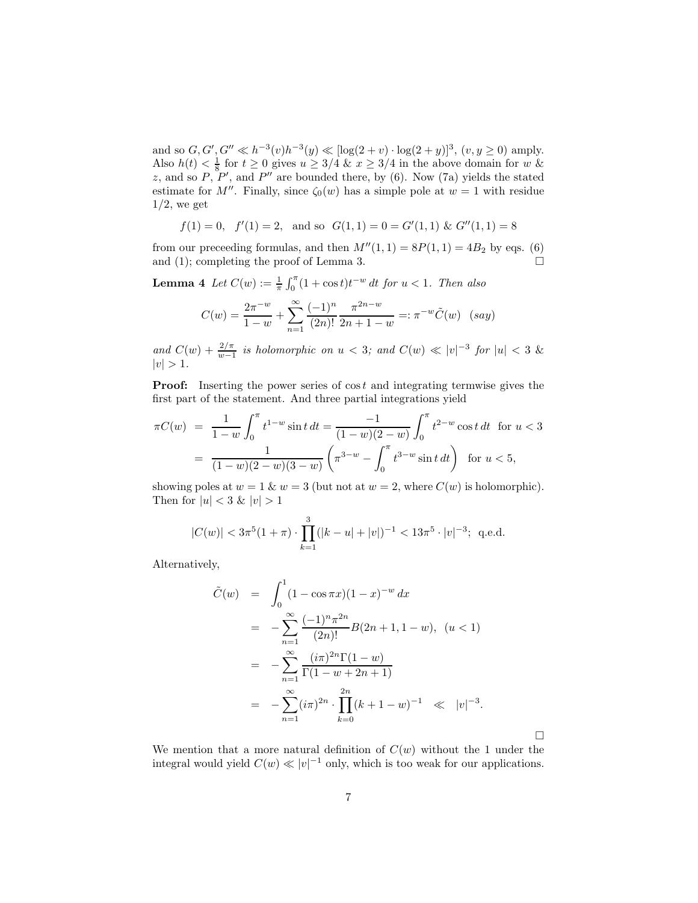and so  $G, G', G'' \ll h^{-3}(v)h^{-3}(y) \ll [\log(2+v) \cdot \log(2+y)]^3$ ,  $(v, y \ge 0)$  amply. Also  $h(t) < \frac{1}{8}$  for  $t \ge 0$  gives  $u \ge 3/4$  &  $x \ge 3/4$  in the above domain for w & z, and so  $P, P',$  and  $P''$  are bounded there, by (6). Now (7a) yields the stated estimate for M''. Finally, since  $\zeta_0(w)$  has a simple pole at  $w = 1$  with residue  $1/2$ , we get

$$
f(1) = 0
$$
,  $f'(1) = 2$ , and so  $G(1, 1) = 0 = G'(1, 1)$  &  $G''(1, 1) = 8$ 

from our preceeding formulas, and then  $M''(1,1) = 8P(1,1) = 4B_2$  by eqs. (6) and (1); completing the proof of Lemma 3.  $\Box$ 

**Lemma 4** Let  $C(w) := \frac{1}{\pi} \int_0^{\pi} (1 + \cos t) t^{-w} dt$  for  $u < 1$ . Then also

$$
C(w) = \frac{2\pi^{-w}}{1-w} + \sum_{n=1}^{\infty} \frac{(-1)^n}{(2n)!} \frac{\pi^{2n-w}}{2n+1-w} =: \pi^{-w}\tilde{C}(w) \quad (say)
$$

and  $C(w) + \frac{2/\pi}{w-1}$  is holomorphic on  $u < 3$ ; and  $C(w) \ll |v|^{-3}$  for  $|u| < 3$  &  $|v| > 1.$ 

**Proof:** Inserting the power series of  $\cos t$  and integrating termwise gives the first part of the statement. And three partial integrations yield

$$
\pi C(w) = \frac{1}{1-w} \int_0^{\pi} t^{1-w} \sin t \, dt = \frac{-1}{(1-w)(2-w)} \int_0^{\pi} t^{2-w} \cos t \, dt \quad \text{for } u < 3
$$

$$
= \frac{1}{(1-w)(2-w)(3-w)} \left( \pi^{3-w} - \int_0^{\pi} t^{3-w} \sin t \, dt \right) \quad \text{for } u < 5,
$$

showing poles at  $w = 1$  &  $w = 3$  (but not at  $w = 2$ , where  $C(w)$  is holomorphic). Then for  $|u| < 3$  &  $|v| > 1$ 

$$
|C(w)| < 3\pi^5(1+\pi) \cdot \prod_{k=1}^3 (|k-u|+|v|)^{-1} < 13\pi^5 \cdot |v|^{-3};
$$
 q.e.d.

Alternatively,

$$
\tilde{C}(w) = \int_0^1 (1 - \cos \pi x)(1 - x)^{-w} dx
$$
  
\n
$$
= -\sum_{n=1}^\infty \frac{(-1)^n \pi^{2n}}{(2n)!} B(2n + 1, 1 - w), \quad (u < 1)
$$
  
\n
$$
= -\sum_{n=1}^\infty \frac{(i\pi)^{2n} \Gamma(1 - w)}{\Gamma(1 - w + 2n + 1)}
$$
  
\n
$$
= -\sum_{n=1}^\infty (i\pi)^{2n} \cdot \prod_{k=0}^{2n} (k + 1 - w)^{-1} \ll |v|^{-3}.
$$

 $\Box$ 

We mention that a more natural definition of  $C(w)$  without the 1 under the integral would yield  $C(w) \ll |v|^{-1}$  only, which is too weak for our applications.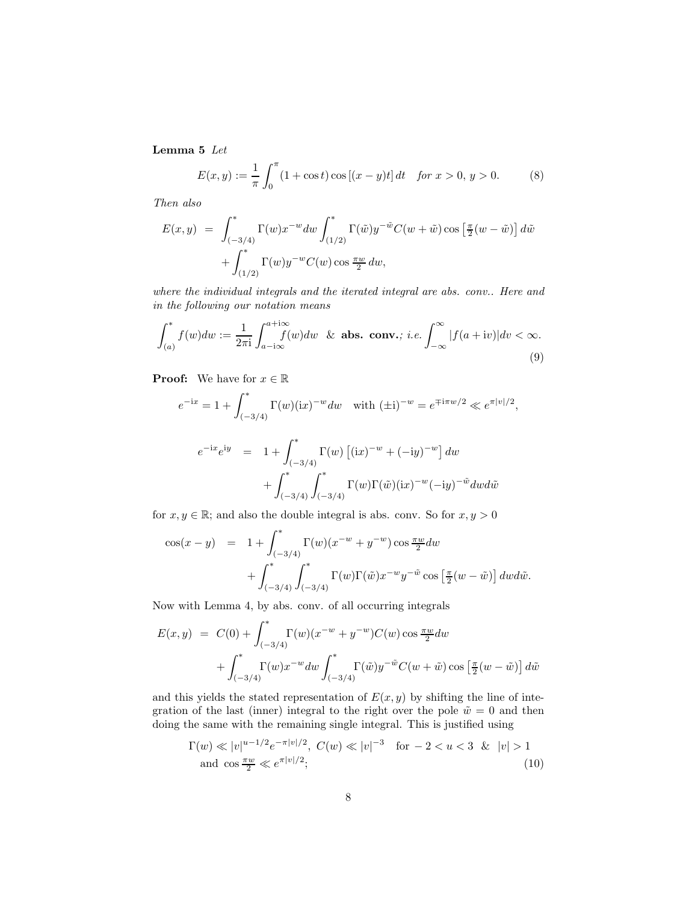Lemma 5 Let

$$
E(x, y) := \frac{1}{\pi} \int_0^{\pi} (1 + \cos t) \cos [(x - y)t] dt \quad \text{for } x > 0, y > 0.
$$
 (8)

Then also

$$
E(x, y) = \int_{(-3/4)}^{*} \Gamma(w) x^{-w} dw \int_{(1/2)}^{*} \Gamma(\tilde{w}) y^{-\tilde{w}} C(w + \tilde{w}) \cos \left[\frac{\pi}{2}(w - \tilde{w})\right] d\tilde{w}
$$
  
+ 
$$
\int_{(1/2)}^{*} \Gamma(w) y^{-w} C(w) \cos \frac{\pi w}{2} dw,
$$

where the individual integrals and the iterated integral are abs. conv.. Here and in the following our notation means

$$
\int_{(a)}^* f(w) dw := \frac{1}{2\pi i} \int_{a-i\infty}^{a+i\infty} f(w) dw \& \text{abs. conv.}; i.e. \int_{-\infty}^{\infty} |f(a+iv)| dv < \infty.
$$
\n(9)

**Proof:** We have for  $x \in \mathbb{R}$ 

$$
e^{-ix} = 1 + \int_{(-3/4)}^{*} \Gamma(w)(ix)^{-w} dw \quad \text{with } (\pm i)^{-w} = e^{\mp i\pi w/2} \ll e^{\pi |v|/2},
$$
  

$$
e^{-ix}e^{iy} = 1 + \int_{(-3/4)}^{*} \Gamma(w) \left[ (ix)^{-w} + (-iy)^{-w} \right] dw
$$
  

$$
+ \int_{(-3/4)}^{*} \int_{(-3/4)}^{*} \Gamma(w) \Gamma(\tilde{w}) (ix)^{-w} (-iy)^{-\tilde{w}} dw d\tilde{w}
$$

for  $x, y \in \mathbb{R}$ ; and also the double integral is abs. conv. So for  $x, y > 0$ 

$$
\cos(x - y) = 1 + \int_{(-3/4)}^{*} \Gamma(w)(x^{-w} + y^{-w}) \cos \frac{\pi w}{2} dw
$$
  
+ 
$$
\int_{(-3/4)}^{*} \int_{(-3/4)}^{*} \Gamma(w) \Gamma(\tilde{w}) x^{-w} y^{-\tilde{w}} \cos \left[\frac{\pi}{2}(w - \tilde{w})\right] dw d\tilde{w}.
$$

Now with Lemma 4, by abs. conv. of all occurring integrals

$$
E(x, y) = C(0) + \int_{(-3/4)}^{*} \Gamma(w)(x^{-w} + y^{-w})C(w) \cos \frac{\pi w}{2} dw
$$
  
+ 
$$
\int_{(-3/4)}^{*} \Gamma(w)x^{-w} dw \int_{(-3/4)}^{*} \Gamma(\tilde{w})y^{-\tilde{w}}C(w + \tilde{w}) \cos \left[\frac{\pi}{2}(w - \tilde{w})\right] d\tilde{w}
$$

and this yields the stated representation of  $E(x, y)$  by shifting the line of integration of the last (inner) integral to the right over the pole  $\tilde{w} = 0$  and then doing the same with the remaining single integral. This is justified using

$$
\Gamma(w) \ll |v|^{u-1/2} e^{-\pi |v|/2}, \ C(w) \ll |v|^{-3} \quad \text{for } -2 < u < 3 \ \& \ |v| > 1
$$
\n
$$
\text{and } \cos \frac{\pi w}{2} \ll e^{\pi |v|/2}; \tag{10}
$$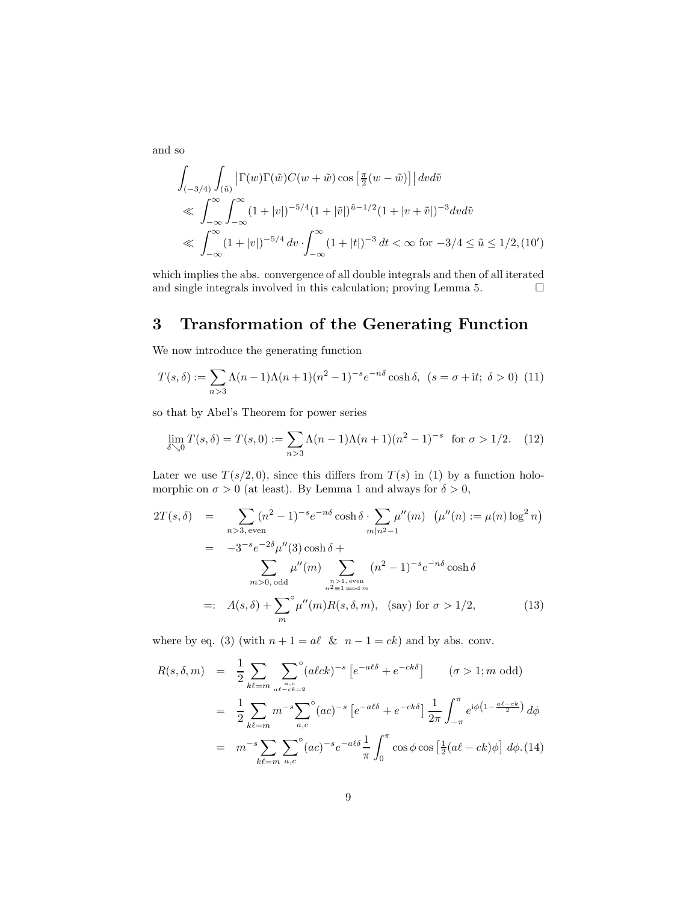and so

$$
\int_{(-3/4)} \int_{(\tilde{u})} \left| \Gamma(w) \Gamma(\tilde{w}) C(w + \tilde{w}) \cos \left[ \frac{\pi}{2} (w - \tilde{w}) \right] \right| dv d\tilde{v}
$$
\n
$$
\ll \int_{-\infty}^{\infty} \int_{-\infty}^{\infty} (1 + |v|)^{-5/4} (1 + |\tilde{v}|)^{\tilde{u}-1/2} (1 + |v + \tilde{v}|)^{-3} dv d\tilde{v}
$$
\n
$$
\ll \int_{-\infty}^{\infty} (1 + |v|)^{-5/4} dv \cdot \int_{-\infty}^{\infty} (1 + |t|)^{-3} dt < \infty \text{ for } -3/4 \le \tilde{u} \le 1/2, (10')
$$

which implies the abs. convergence of all double integrals and then of all iterated and single integrals involved in this calculation; proving Lemma 5.  $\Box$ 

## 3 Transformation of the Generating Function

We now introduce the generating function

$$
T(s,\delta) := \sum_{n>3} \Lambda(n-1)\Lambda(n+1)(n^2-1)^{-s} e^{-n\delta} \cosh \delta, \ (s = \sigma + it; \ \delta > 0) \ (11)
$$

so that by Abel's Theorem for power series

$$
\lim_{\delta \searrow 0} T(s, \delta) = T(s, 0) := \sum_{n > 3} \Lambda(n - 1) \Lambda(n + 1) (n^2 - 1)^{-s} \text{ for } \sigma > 1/2. \tag{12}
$$

Later we use  $T(s/2,0)$ , since this differs from  $T(s)$  in (1) by a function holomorphic on  $\sigma > 0$  (at least). By Lemma 1 and always for  $\delta > 0$ ,

$$
2T(s,\delta) = \sum_{n>3, \text{ even}} (n^2 - 1)^{-s} e^{-n\delta} \cosh \delta \cdot \sum_{m|n^2-1} \mu''(m) \ (\mu''(n) := \mu(n) \log^2 n)
$$
  

$$
= -3^{-s} e^{-2\delta} \mu''(3) \cosh \delta + \sum_{m>0, \text{ odd}} \mu''(m) \sum_{\substack{n>1, \text{ even} \\ n^2 \equiv 1 \bmod m}} (n^2 - 1)^{-s} e^{-n\delta} \cosh \delta
$$
  

$$
=: A(s,\delta) + \sum_{m}^{\infty} \mu''(m) R(s,\delta,m), \text{ (say) for } \sigma > 1/2,
$$
 (13)

where by eq. (3) (with  $n + 1 = a\ell \& n - 1 = ck$ ) and by abs. conv.

$$
R(s, \delta, m) = \frac{1}{2} \sum_{k\ell=m} \sum_{\substack{a,c \ a\ell-ck=2}} (a\ell ck)^{-s} \left[ e^{-a\ell\delta} + e^{-ck\delta} \right] \qquad (\sigma > 1; m \text{ odd})
$$
  

$$
= \frac{1}{2} \sum_{k\ell=m} m^{-s} \sum_{a,c} (ac)^{-s} \left[ e^{-a\ell\delta} + e^{-ck\delta} \right] \frac{1}{2\pi} \int_{-\pi}^{\pi} e^{i\phi \left(1 - \frac{a\ell - ck}{2}\right)} d\phi
$$
  

$$
= m^{-s} \sum_{k\ell=m} \sum_{a,c} (ac)^{-s} e^{-a\ell\delta} \frac{1}{\pi} \int_{0}^{\pi} \cos\phi \cos\left[\frac{1}{2}(a\ell - ck)\phi\right] d\phi. (14)
$$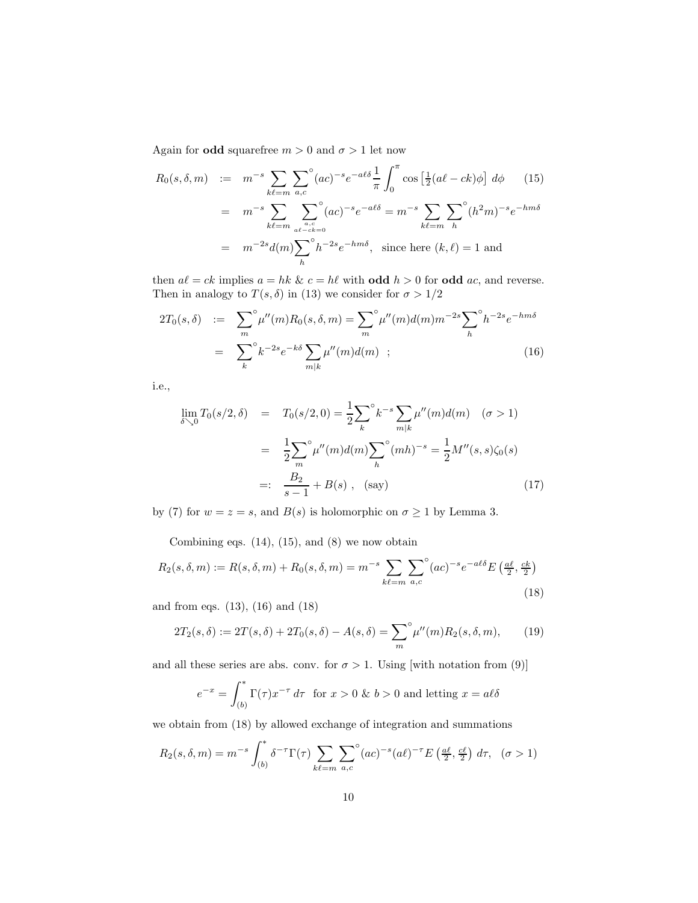Again for **odd** squarefree  $m > 0$  and  $\sigma > 1$  let now

$$
R_0(s, \delta, m) := m^{-s} \sum_{k\ell=m} \sum_{a,c} (ac)^{-s} e^{-a\ell\delta} \frac{1}{\pi} \int_0^{\pi} \cos\left[\frac{1}{2}(al - ck)\phi\right] d\phi \qquad (15)
$$
  
=  $m^{-s} \sum_{k\ell=m} \sum_{\substack{a,c \ a^c \text{ odd}}} (ac)^{-s} e^{-a\ell\delta} = m^{-s} \sum_{k\ell=m} \sum_{h} (h^2 m)^{-s} e^{-h m\delta}$   
=  $m^{-2s} d(m) \sum_{h} (h^2 m)^{-s} e^{-h m\delta}, \text{ since here } (k, \ell) = 1 \text{ and}$ 

then  $a\ell = ck$  implies  $a = hk \& c = h\ell$  with **odd**  $h > 0$  for **odd** ac, and reverse. Then in analogy to  $T(s, \delta)$  in (13) we consider for  $\sigma > 1/2$ 

$$
2T_0(s,\delta) := \sum_{m}^{\infty} \mu''(m) R_0(s,\delta,m) = \sum_{m}^{\infty} \mu''(m) d(m) m^{-2s} \sum_{h}^{\infty} h^{-2s} e^{-hm\delta}
$$
  
= 
$$
\sum_{k}^{\infty} k^{-2s} e^{-k\delta} \sum_{m|k} \mu''(m) d(m) ; \qquad (16)
$$

i.e.,

$$
\lim_{\delta \searrow 0} T_0(s/2, \delta) = T_0(s/2, 0) = \frac{1}{2} \sum_k^{\infty} k^{-s} \sum_{m|k} \mu''(m) d(m) \quad (\sigma > 1)
$$

$$
= \frac{1}{2} \sum_m^{\infty} \mu''(m) d(m) \sum_k^{\infty} (mh)^{-s} = \frac{1}{2} M''(s, s) \zeta_0(s)
$$

$$
=: \frac{B_2}{s - 1} + B(s) , \quad \text{(say)}
$$
(17)

by (7) for  $w = z = s$ , and  $B(s)$  is holomorphic on  $\sigma \geq 1$  by Lemma 3.

Combining eqs.  $(14)$ ,  $(15)$ , and  $(8)$  we now obtain

$$
R_2(s,\delta,m) := R(s,\delta,m) + R_0(s,\delta,m) = m^{-s} \sum_{k\ell=m} \sum_{a,c} (ac)^{-s} e^{-a\ell\delta} E\left(\frac{a\ell}{2},\frac{ck}{2}\right)
$$
\n(18)

and from eqs. (13), (16) and (18)

$$
2T_2(s,\delta) := 2T(s,\delta) + 2T_0(s,\delta) - A(s,\delta) = \sum_{m}^{\infty} \mu''(m) R_2(s,\delta,m), \quad (19)
$$

and all these series are abs. conv. for  $\sigma > 1$ . Using [with notation from (9)]

$$
e^{-x} = \int_{(b)}^{*} \Gamma(\tau) x^{-\tau} d\tau \text{ for } x > 0 \text{ \& } b > 0 \text{ and letting } x = a\ell\delta
$$

we obtain from (18) by allowed exchange of integration and summations

$$
R_2(s,\delta,m) = m^{-s} \int_{(b)}^* \delta^{-\tau} \Gamma(\tau) \sum_{k\ell=m} \sum_{a,c} (ac)^{-s} (a\ell)^{-\tau} E\left(\frac{a\ell}{2}, \frac{c\ell}{2}\right) d\tau, \quad (\sigma > 1)
$$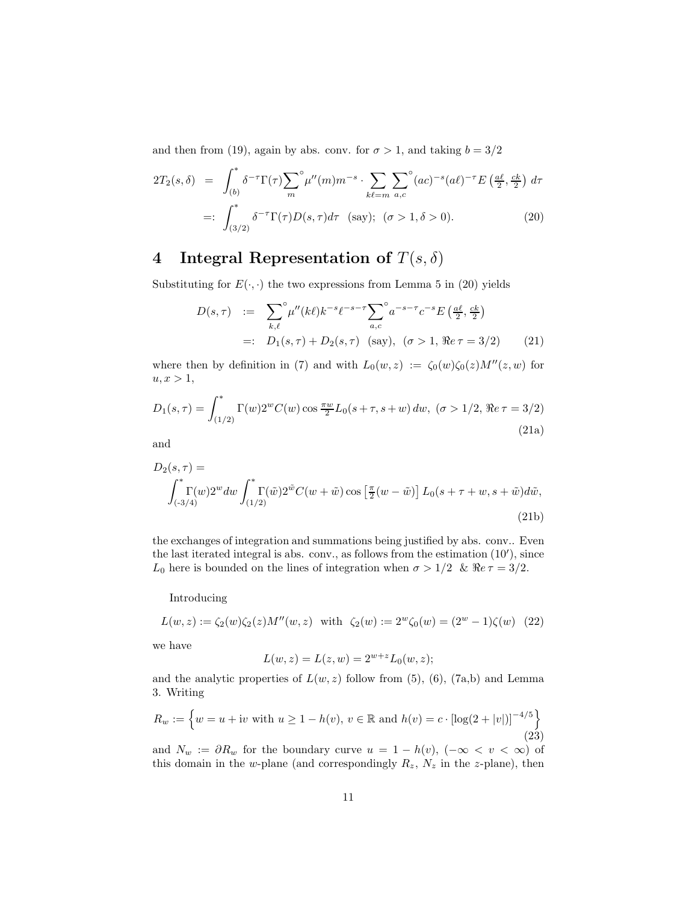and then from (19), again by abs. conv. for  $\sigma > 1$ , and taking  $b = 3/2$ 

$$
2T_2(s,\delta) = \int_{(b)}^* \delta^{-\tau} \Gamma(\tau) \sum_m^{\circ} \mu''(m) m^{-s} \cdot \sum_{k\ell=m} \sum_{a,c}^{\circ} (ac)^{-s} (ad)^{-\tau} E\left(\frac{a\ell}{2}, \frac{ck}{2}\right) d\tau
$$
  

$$
=: \int_{(3/2)}^* \delta^{-\tau} \Gamma(\tau) D(s,\tau) d\tau \quad \text{(say)}; \quad (\sigma > 1, \delta > 0).
$$
 (20)

# 4 Integral Representation of  $T(s, \delta)$

Substituting for  $E(\cdot, \cdot)$  the two expressions from Lemma 5 in (20) yields

$$
D(s,\tau) := \sum_{k,\ell}^{\infty} \mu''(k\ell) k^{-s} \ell^{-s-\tau} \sum_{a,c}^{\infty} a^{-s-\tau} c^{-s} E\left(\frac{a\ell}{2}, \frac{ck}{2}\right)
$$
  
=:  $D_1(s,\tau) + D_2(s,\tau)$  (say),  $(\sigma > 1, \Re \epsilon \tau = 3/2)$  (21)

where then by definition in (7) and with  $L_0(w, z) := \zeta_0(w)\zeta_0(z)M''(z, w)$  for  $u, x > 1$ ,

$$
D_1(s,\tau) = \int_{(1/2)}^* \Gamma(w)2^w C(w) \cos \frac{\pi w}{2} L_0(s+\tau, s+w) \, dw, \ (\sigma > 1/2, \Re \epsilon \tau = 3/2)
$$
\n(21a)

and

$$
D_2(s,\tau) = \int_{(-3/4)}^{*} \Gamma(w) 2^w dw \int_{(1/2)}^{*} \Gamma(\tilde{w}) 2^{\tilde{w}} C(w + \tilde{w}) \cos \left[ \frac{\pi}{2} (w - \tilde{w}) \right] L_0(s + \tau + w, s + \tilde{w}) d\tilde{w},\tag{21b}
$$

the exchanges of integration and summations being justified by abs. conv.. Even the last iterated integral is abs. conv., as follows from the estimation (10′ ), since L<sub>0</sub> here is bounded on the lines of integration when  $\sigma > 1/2$  &  $\Re e \tau = 3/2$ .

Introducing

$$
L(w, z) := \zeta_2(w)\zeta_2(z)M''(w, z) \text{ with } \zeta_2(w) := 2^w\zeta_0(w) = (2^w - 1)\zeta(w) \tag{22}
$$

we have

$$
L(w, z) = L(z, w) = 2^{w + z} L_0(w, z);
$$

and the analytic properties of  $L(w, z)$  follow from (5), (6), (7a,b) and Lemma 3. Writing

$$
R_w := \left\{ w = u + \text{iv with } u \ge 1 - h(v), v \in \mathbb{R} \text{ and } h(v) = c \cdot \left[ \log(2 + |v|) \right]^{-4/5} \right\}
$$
\n(23)

and  $N_w := \partial R_w$  for the boundary curve  $u = 1 - h(v)$ ,  $(-\infty < v < \infty)$  of this domain in the w-plane (and correspondingly  $R_z$ ,  $N_z$  in the z-plane), then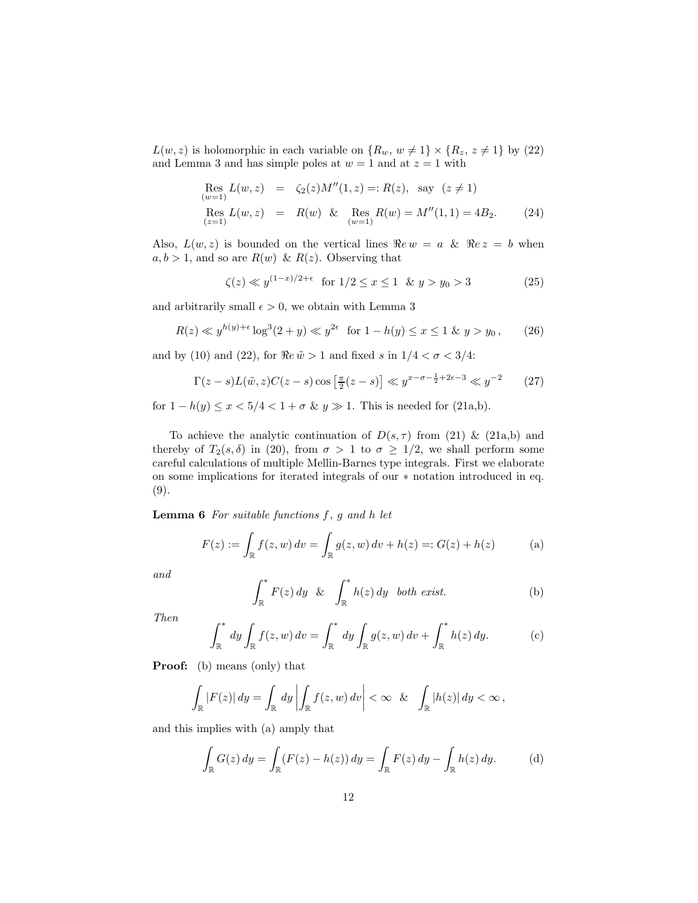$L(w, z)$  is holomorphic in each variable on  $\{R_w, w \neq 1\} \times \{R_z, z \neq 1\}$  by (22) and Lemma 3 and has simple poles at  $w = 1$  and at  $z = 1$  with

Res  
\n
$$
L(w, z) = \zeta_2(z)M''(1, z) =: R(z), \text{ say } (z \neq 1)
$$
\nRes  
\n
$$
L(w, z) = R(w) \& \text{Res } R(w) = M''(1, 1) = 4B_2.
$$
\n(24)

Also,  $L(w, z)$  is bounded on the vertical lines  $\Re e w = a \& \Re e z = b$  when  $a, b > 1$ , and so are  $R(w) \& R(z)$ . Observing that

$$
\zeta(z) \ll y^{(1-x)/2 + \epsilon} \text{ for } 1/2 \le x \le 1 \quad \& \quad y > y_0 > 3 \tag{25}
$$

and arbitrarily small  $\epsilon > 0$ , we obtain with Lemma 3

$$
R(z) \ll y^{h(y)+\epsilon} \log^{3}(2+y) \ll y^{2\epsilon} \text{ for } 1-h(y) \le x \le 1 \text{ \& } y > y_{0}, \qquad (26)
$$

and by (10) and (22), for  $\Re e \tilde{w} > 1$  and fixed s in  $1/4 < \sigma < 3/4$ :

$$
\Gamma(z - s)L(\tilde{w}, z)C(z - s)\cos\left[\frac{\pi}{2}(z - s)\right] \ll y^{x - \sigma - \frac{1}{2} + 2\epsilon - 3} \ll y^{-2}
$$
 (27)

for  $1 - h(y) \le x < 5/4 < 1 + \sigma \& y \gg 1$ . This is needed for (21a,b).

To achieve the analytic continuation of  $D(s, \tau)$  from (21) & (21a,b) and thereby of  $T_2(s, \delta)$  in (20), from  $\sigma > 1$  to  $\sigma \geq 1/2$ , we shall perform some careful calculations of multiple Mellin-Barnes type integrals. First we elaborate on some implications for iterated integrals of our ∗ notation introduced in eq. (9).

**Lemma 6** For suitable functions  $f$ ,  $g$  and  $h$  let

$$
F(z) := \int_{\mathbb{R}} f(z, w) dv = \int_{\mathbb{R}} g(z, w) dv + h(z) =: G(z) + h(z)
$$
 (a)

and

$$
\int_{\mathbb{R}}^* F(z) dy \& \int_{\mathbb{R}}^* h(z) dy \quad both \ exist.
$$
 (b)

Then

$$
\int_{\mathbb{R}}^* dy \int_{\mathbb{R}} f(z, w) dv = \int_{\mathbb{R}}^* dy \int_{\mathbb{R}} g(z, w) dv + \int_{\mathbb{R}}^* h(z) dy.
$$
 (c)

Proof: (b) means (only) that

$$
\int_{\mathbb{R}} |F(z)| dy = \int_{\mathbb{R}} dy \left| \int_{\mathbb{R}} f(z, w) dv \right| < \infty \quad \& \quad \int_{\mathbb{R}} |h(z)| dy < \infty,
$$

and this implies with (a) amply that

$$
\int_{\mathbb{R}} G(z) dy = \int_{\mathbb{R}} (F(z) - h(z)) dy = \int_{\mathbb{R}} F(z) dy - \int_{\mathbb{R}} h(z) dy.
$$
 (d)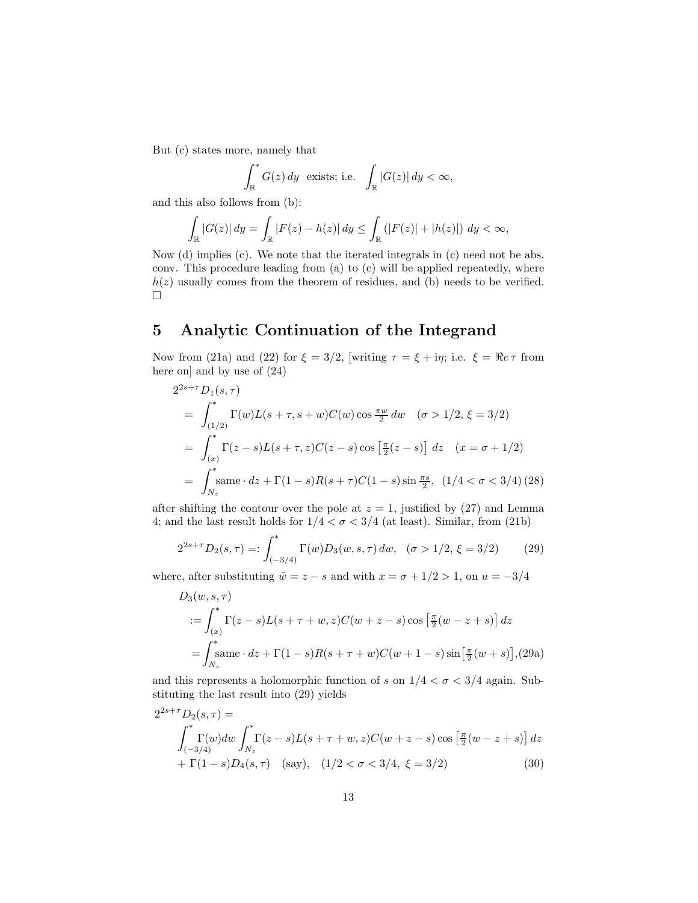But (c) states more, namely that

$$
\int_{\mathbb{R}}^* G(z) \, dy \quad \text{exists; i.e.} \quad \int_{\mathbb{R}} |G(z)| \, dy < \infty,
$$

and this also follows from (b):

$$
\int_{\mathbb{R}} |G(z)| dy = \int_{\mathbb{R}} |F(z) - h(z)| dy \le \int_{\mathbb{R}} (|F(z)| + |h(z)|) dy < \infty,
$$

Now (d) implies (c). We note that the iterated integrals in (c) need not be abs. conv. This procedure leading from (a) to (c) will be applied repeatedly, where  $h(z)$  usually comes from the theorem of residues, and (b) needs to be verified.  $\Box$ 

# 5 Analytic Continuation of the Integrand

Now from (21a) and (22) for  $\xi = 3/2$ , [writing  $\tau = \xi + i\eta$ ; i.e.  $\xi = \Re e \tau$  from here onl and by use of  $(24)$ 

$$
2^{2s+\tau} D_1(s,\tau)
$$
  
=  $\int_{(1/2)}^* \Gamma(w) L(s+\tau, s+w) C(w) \cos \frac{\pi w}{2} dw \quad (\sigma > 1/2, \xi = 3/2)$   
=  $\int_{(x)}^* \Gamma(z-s) L(s+\tau, z) C(z-s) \cos [\frac{\pi}{2}(z-s)] dz \quad (x = \sigma + 1/2)$   
=  $\int_{N_z}^* \text{same} \cdot dz + \Gamma(1-s) R(s+\tau) C(1-s) \sin \frac{\pi s}{2}, (1/4 < \sigma < 3/4) (28)$ 

after shifting the contour over the pole at  $z = 1$ , justified by (27) and Lemma 4; and the last result holds for  $1/4 < \sigma < 3/4$  (at least). Similar, from (21b)

$$
2^{2s+\tau}D_2(s,\tau) =: \int_{(-3/4)}^* \Gamma(w)D_3(w,s,\tau) \, dw, \quad (\sigma > 1/2, \xi = 3/2) \tag{29}
$$

where, after substituting  $\tilde{w} = z - s$  and with  $x = \sigma + 1/2 > 1$ , on  $u = -3/4$ 

$$
D_3(w, s, \tau)
$$
  
=  $\int_{(x)}^* \Gamma(z - s) L(s + \tau + w, z) C(w + z - s) \cos \left[ \frac{\pi}{2} (w - z + s) \right] dz$   
=  $\int_{N_z}^* \text{same} \cdot dz + \Gamma(1 - s) R(s + \tau + w) C(w + 1 - s) \sin \left[ \frac{\pi}{2} (w + s) \right],$  (29a)

and this represents a holomorphic function of s on  $1/4 < \sigma < 3/4$  again. Substituting the last result into (29) yields

$$
2^{2s+\tau}D_2(s,\tau) =
$$
  

$$
\int_{(-3/4)}^* \Gamma(w)dw \int_{N_z}^* \Gamma(z-s)L(s+\tau+w,z)C(w+z-s) \cos\left[\frac{\pi}{2}(w-z+s)\right]dz
$$
  
+  $\Gamma(1-s)D_4(s,\tau)$  (say),  $(1/2 < \sigma < 3/4, \xi = 3/2)$  (30)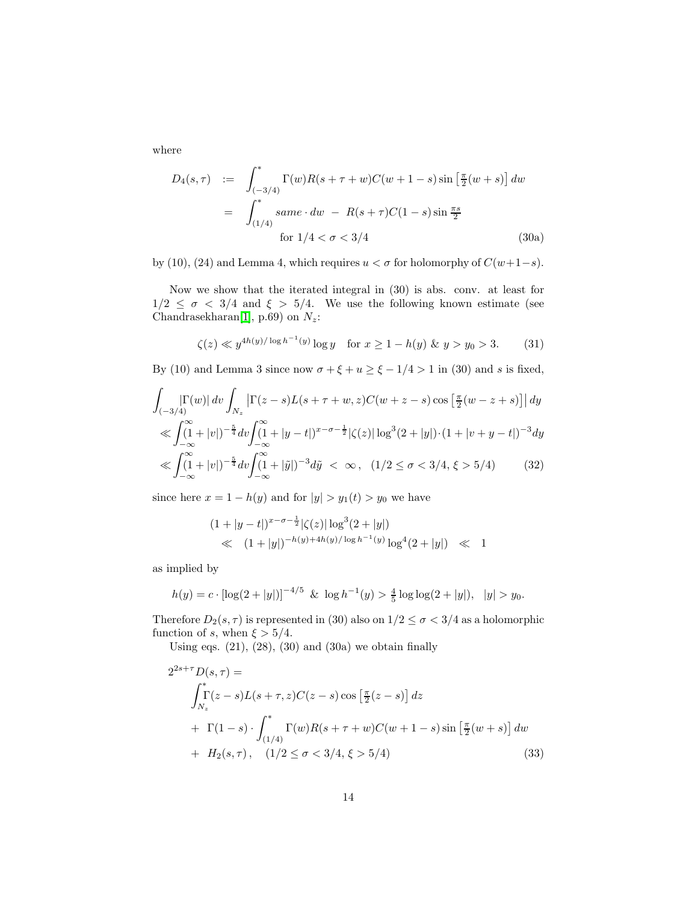where

$$
D_4(s,\tau) := \int_{(-3/4)}^* \Gamma(w)R(s+\tau+w)C(w+1-s)\sin\left[\frac{\pi}{2}(w+s)\right]dw
$$
  
= 
$$
\int_{(1/4)}^* same \cdot dw - R(s+\tau)C(1-s)\sin\frac{\pi s}{2}
$$
  
for  $1/4 < \sigma < 3/4$  (30a)

by (10), (24) and Lemma 4, which requires  $u < \sigma$  for holomorphy of  $C(w+1-s)$ .

Now we show that the iterated integral in (30) is abs. conv. at least for  $1/2 \leq \sigma < 3/4$  and  $\xi > 5/4$ . We use the following known estimate (see Chandrasekharan[\[1\]](#page-37-3), p.69) on  $N_z$ :

$$
\zeta(z) \ll y^{4h(y)/\log h^{-1}(y)} \log y \quad \text{for } x \ge 1 - h(y) \; \& \; y > y_0 > 3. \tag{31}
$$

By (10) and Lemma 3 since now  $\sigma + \xi + u \ge \xi - 1/4 > 1$  in (30) and s is fixed,

$$
\int_{(-3/4)} |\Gamma(w)| \, dv \int_{N_z} \left| \Gamma(z - s) L(s + \tau + w, z) C(w + z - s) \cos \left[ \frac{\pi}{2} (w - z + s) \right] \right| dy
$$
  
\n
$$
\ll \int_{-\infty}^{\infty} (1 + |v|)^{-\frac{5}{4}} dv \int_{-\infty}^{\infty} (1 + |y - t|)^{x - \sigma - \frac{1}{2}} |\zeta(z)| \log^3(2 + |y|) \cdot (1 + |v + y - t|)^{-3} dy
$$
  
\n
$$
\ll \int_{-\infty}^{\infty} (1 + |v|)^{-\frac{5}{4}} dv \int_{-\infty}^{\infty} (1 + |\tilde{y}|)^{-3} d\tilde{y} < \infty, \quad (1/2 \le \sigma < 3/4, \xi > 5/4)
$$
 (32)

since here  $x = 1 - h(y)$  and for  $|y| > y_1(t) > y_0$  we have

$$
(1+|y-t|)^{x-\sigma-\frac{1}{2}}|\zeta(z)|\log^{3}(2+|y|)
$$
  
\n
$$
\ll (1+|y|)^{-h(y)+4h(y)/\log h^{-1}(y)}\log^{4}(2+|y|) \ll 1
$$

as implied by

$$
h(y) = c \cdot [\log(2+|y|)]^{-4/5} \& \log h^{-1}(y) > \frac{4}{5} \log \log(2+|y|), \quad |y| > y_0.
$$

Therefore  $D_2(s, \tau)$  is represented in (30) also on  $1/2 \leq \sigma < 3/4$  as a holomorphic function of s, when  $\xi > 5/4$ .

Using eqs.  $(21)$ ,  $(28)$ ,  $(30)$  and  $(30a)$  we obtain finally

$$
2^{2s+\tau}D(s,\tau) =
$$
  
\n
$$
\int_{N_z}^{\pi} \Gamma(z-s)L(s+\tau,z)C(z-s)\cos\left[\frac{\pi}{2}(z-s)\right]dz
$$
  
\n
$$
+ \Gamma(1-s) \cdot \int_{(1/4)}^{\pi} \Gamma(w)R(s+\tau+w)C(w+1-s)\sin\left[\frac{\pi}{2}(w+s)\right]dw
$$
  
\n
$$
+ H_2(s,\tau), \quad (1/2 \le \sigma < 3/4, \xi > 5/4)
$$
\n(33)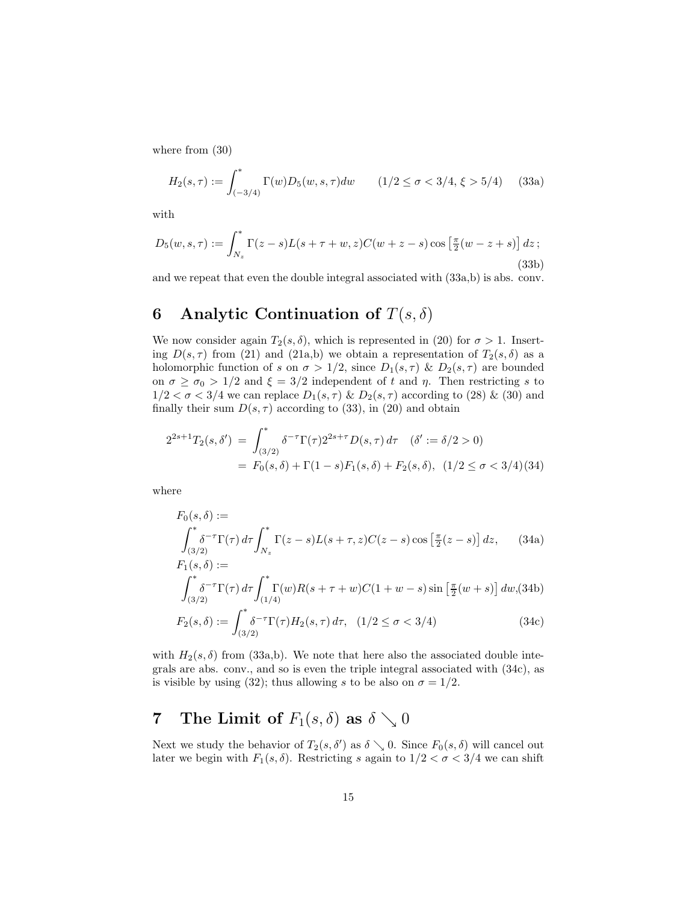where from (30)

$$
H_2(s,\tau) := \int_{(-3/4)}^* \Gamma(w) D_5(w,s,\tau) dw \qquad (1/2 \le \sigma < 3/4, \xi > 5/4) \qquad (33a)
$$

with

$$
D_5(w, s, \tau) := \int_{N_z}^* \Gamma(z - s) L(s + \tau + w, z) C(w + z - s) \cos\left[\frac{\pi}{2}(w - z + s)\right] dz;
$$
\n(33b)

and we repeat that even the double integral associated with (33a,b) is abs. conv.

## 6 Analytic Continuation of  $T(s, \delta)$

We now consider again  $T_2(s, \delta)$ , which is represented in (20) for  $\sigma > 1$ . Inserting  $D(s, \tau)$  from (21) and (21a,b) we obtain a representation of  $T_2(s, \delta)$  as a holomorphic function of s on  $\sigma > 1/2$ , since  $D_1(s, \tau)$  &  $D_2(s, \tau)$  are bounded on  $\sigma \ge \sigma_0 > 1/2$  and  $\xi = 3/2$  independent of t and  $\eta$ . Then restricting s to  $1/2 < \sigma < 3/4$  we can replace  $D_1(s, \tau) \& D_2(s, \tau)$  according to (28) & (30) and finally their sum  $D(s, \tau)$  according to (33), in (20) and obtain

$$
2^{2s+1}T_2(s,\delta') = \int_{(3/2)}^* \delta^{-\tau} \Gamma(\tau) 2^{2s+\tau} D(s,\tau) d\tau \quad (\delta' := \delta/2 > 0)
$$
  
=  $F_0(s,\delta) + \Gamma(1-s)F_1(s,\delta) + F_2(s,\delta), \quad (1/2 \le \sigma < 3/4)$  (34)

where

$$
F_0(s,\delta) :=
$$
  

$$
\int_{(3/2)}^* \delta^{-\tau} \Gamma(\tau) d\tau \int_{N_z}^* \Gamma(z-s) L(s+\tau,z) C(z-s) \cos \left[\frac{\pi}{2}(z-s)\right] dz, \quad (34a)
$$
  

$$
F_1(s,\delta) :=
$$

$$
\int_{(3/2)}^{\infty} \delta^{-\tau} \Gamma(\tau) d\tau \int_{(1/4)}^{\infty} \Gamma(w) R(s+\tau+w) C(1+w-s) \sin \left[\frac{\pi}{2}(w+s)\right] dw, (34b)
$$

$$
F_2(s,\delta) := \int_{(3/2)}^* \delta^{-\tau} \Gamma(\tau) H_2(s,\tau) \, d\tau, \quad (1/2 \le \sigma < 3/4) \tag{34c}
$$

with  $H_2(s, \delta)$  from (33a,b). We note that here also the associated double integrals are abs. conv., and so is even the triple integral associated with (34c), as is visible by using (32); thus allowing s to be also on  $\sigma = 1/2$ .

# 7 The Limit of  $F_1(s, \delta)$  as  $\delta \searrow 0$

Next we study the behavior of  $T_2(s, \delta')$  as  $\delta \searrow 0$ . Since  $F_0(s, \delta)$  will cancel out later we begin with  $F_1(s, \delta)$ . Restricting s again to  $1/2 < \sigma < 3/4$  we can shift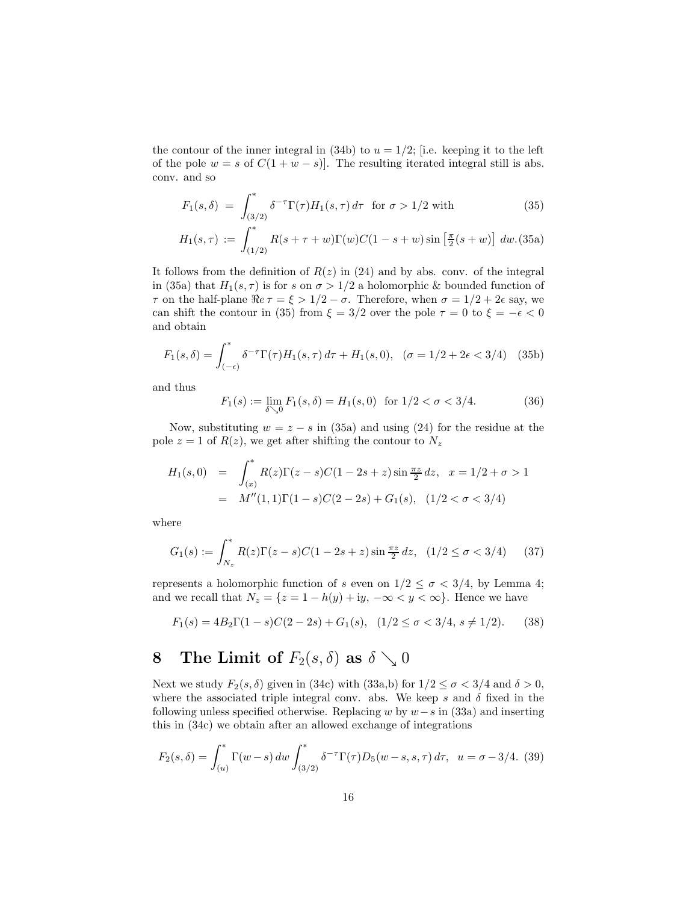the contour of the inner integral in (34b) to  $u = 1/2$ ; [i.e. keeping it to the left of the pole  $w = s$  of  $C(1 + w - s)$ . The resulting iterated integral still is abs. conv. and so

$$
F_1(s,\delta) = \int_{\substack{(3/2) \\ \sigma^*}}^* \delta^{-\tau} \Gamma(\tau) H_1(s,\tau) d\tau \text{ for } \sigma > 1/2 \text{ with } (35)
$$

$$
H_1(s,\tau) := \int_{(1/2)}^* R(s+\tau+w)\Gamma(w)C(1-s+w)\sin\left[\frac{\pi}{2}(s+w)\right] dw. (35a)
$$

It follows from the definition of  $R(z)$  in (24) and by abs. conv. of the integral in (35a) that  $H_1(s, \tau)$  is for s on  $\sigma > 1/2$  a holomorphic & bounded function of  $\tau$  on the half-plane  $\Re e \tau = \xi > 1/2 - \sigma$ . Therefore, when  $\sigma = 1/2 + 2\epsilon$  say, we can shift the contour in (35) from  $\xi = 3/2$  over the pole  $\tau = 0$  to  $\xi = -\epsilon < 0$ and obtain

$$
F_1(s,\delta) = \int_{(-\epsilon)}^* \delta^{-\tau} \Gamma(\tau) H_1(s,\tau) \, d\tau + H_1(s,0), \quad (\sigma = 1/2 + 2\epsilon < 3/4) \tag{35b}
$$

and thus

$$
F_1(s) := \lim_{\delta \searrow 0} F_1(s, \delta) = H_1(s, 0) \text{ for } 1/2 < \sigma < 3/4.
$$
 (36)

Now, substituting  $w = z - s$  in (35a) and using (24) for the residue at the pole  $z = 1$  of  $R(z)$ , we get after shifting the contour to  $N_z$ 

$$
H_1(s,0) = \int_{(x)}^* R(z)\Gamma(z-s)C(1-2s+z)\sin\frac{\pi z}{2}dz, \quad x = 1/2 + \sigma > 1
$$
  
=  $M''(1,1)\Gamma(1-s)C(2-2s) + G_1(s), \quad (1/2 < \sigma < 3/4)$ 

where

$$
G_1(s) := \int_{N_z}^s R(z)\Gamma(z - s)C(1 - 2s + z)\sin\frac{\pi z}{2}dz, \quad (1/2 \le \sigma < 3/4) \tag{37}
$$

represents a holomorphic function of s even on  $1/2 \leq \sigma < 3/4$ , by Lemma 4; and we recall that  $N_z = \{z = 1 - h(y) + iy, -\infty \le y \le \infty\}$ . Hence we have

$$
F_1(s) = 4B_2 \Gamma(1 - s)C(2 - 2s) + G_1(s), \quad (1/2 \le \sigma < 3/4, s \ne 1/2). \tag{38}
$$

# 8 The Limit of  $F_2(s, \delta)$  as  $\delta \searrow 0$

Next we study  $F_2(s, \delta)$  given in (34c) with (33a,b) for  $1/2 \leq \sigma < 3/4$  and  $\delta > 0$ , where the associated triple integral conv. abs. We keep s and  $\delta$  fixed in the following unless specified otherwise. Replacing w by  $w-s$  in (33a) and inserting this in (34c) we obtain after an allowed exchange of integrations

$$
F_2(s,\delta) = \int_{(u)}^* \Gamma(w-s) \, dw \int_{(3/2)}^* \delta^{-\tau} \Gamma(\tau) D_5(w-s,s,\tau) \, d\tau, \ \ u = \sigma - 3/4. \tag{39}
$$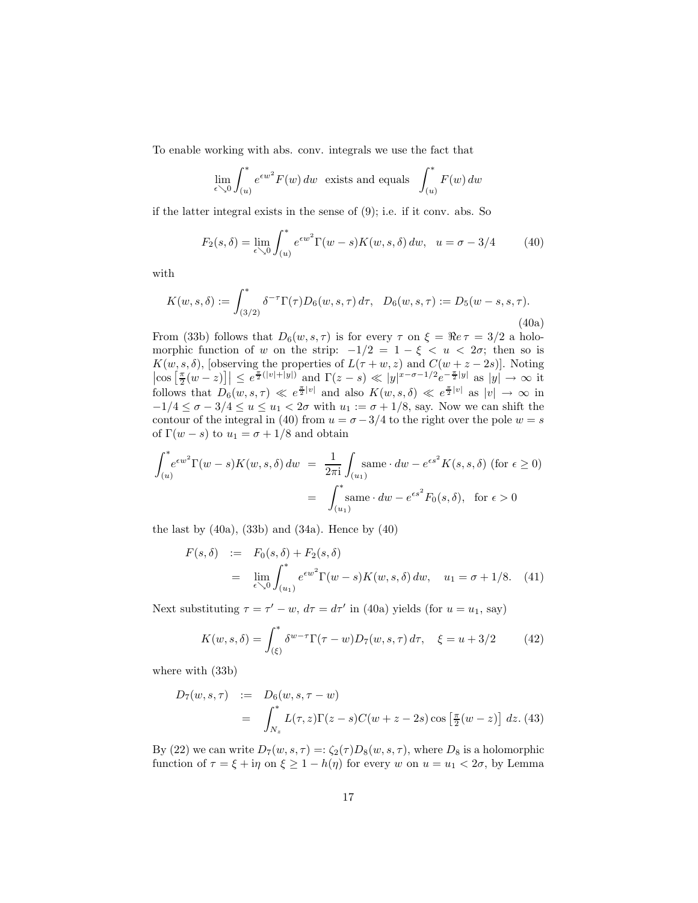To enable working with abs. conv. integrals we use the fact that

$$
\lim_{\epsilon \searrow 0} \int_{(u)}^* e^{\epsilon w^2} F(w) \, dw \text{ exists and equals } \int_{(u)}^* F(w) \, dw
$$

if the latter integral exists in the sense of (9); i.e. if it conv. abs. So

$$
F_2(s,\delta) = \lim_{\epsilon \searrow 0} \int_{(u)}^* e^{\epsilon w^2} \Gamma(w-s) K(w,s,\delta) \, dw, \quad u = \sigma - 3/4 \tag{40}
$$

with

$$
K(w, s, \delta) := \int_{(3/2)}^* \delta^{-\tau} \Gamma(\tau) D_6(w, s, \tau) d\tau, \quad D_6(w, s, \tau) := D_5(w - s, s, \tau).
$$
\n(40a)

From (33b) follows that  $D_6(w, s, \tau)$  is for every  $\tau$  on  $\xi = \Re e \tau = 3/2$  a holomorphic function of w on the strip:  $-1/2 = 1 - \xi < u < 2\sigma$ ; then so is  $K(w, s, \delta)$ , [observing the properties of  $L(\tau + w, z)$  and  $C(w + z - 2s)$ ]. Noting  $\left|\cos\left[\frac{\pi}{2}(w-z)\right]\right| \leq e^{\frac{\pi}{2}(|v|+|y|)}$  and  $\Gamma(z-s) \ll |y|^{x-\sigma-1/2}e^{-\frac{\pi}{2}|y|}$  as  $|y| \to \infty$  it follows that  $D_6(w, s, \tau) \ll e^{\frac{\pi}{2}|v|}$  and also  $K(w, s, \delta) \ll e^{\frac{\pi}{2}|v|}$  as  $|v| \to \infty$  in  $-1/4 \leq \sigma - 3/4 \leq u \leq u_1 < 2\sigma$  with  $u_1 := \sigma + 1/8$ , say. Now we can shift the contour of the integral in (40) from  $u = \sigma - 3/4$  to the right over the pole  $w = s$ of  $\Gamma(w - s)$  to  $u_1 = \sigma + 1/8$  and obtain

$$
\int_{(u)}^* e^{\epsilon w^2} \Gamma(w - s) K(w, s, \delta) dw = \frac{1}{2\pi i} \int_{(u_1)} \text{same} \cdot dw - e^{\epsilon s^2} K(s, s, \delta) \text{ (for } \epsilon \ge 0)
$$

$$
= \int_{(u_1)}^* \text{same} \cdot dw - e^{\epsilon s^2} F_0(s, \delta), \text{ for } \epsilon > 0
$$

the last by  $(40a)$ ,  $(33b)$  and  $(34a)$ . Hence by  $(40)$ 

$$
F(s,\delta) := F_0(s,\delta) + F_2(s,\delta)
$$
  
= 
$$
\lim_{\epsilon \searrow 0} \int_{(u_1)}^* e^{\epsilon w^2} \Gamma(w-s) K(w,s,\delta) dw, \quad u_1 = \sigma + 1/8.
$$
 (41)

Next substituting  $\tau = \tau' - w$ ,  $d\tau = d\tau'$  in (40a) yields (for  $u = u_1$ , say)

$$
K(w, s, \delta) = \int_{(\xi)}^* \delta^{w-\tau} \Gamma(\tau - w) D_7(w, s, \tau) d\tau, \quad \xi = u + 3/2 \tag{42}
$$

where with (33b)

$$
D_7(w, s, \tau) := D_6(w, s, \tau - w)
$$
  
=  $\int_{N_z}^* L(\tau, z) \Gamma(z - s) C(w + z - 2s) \cos \left[ \frac{\pi}{2} (w - z) \right] dz$ . (43)

By (22) we can write  $D_7(w, s, \tau) =: \zeta_2(\tau)D_8(w, s, \tau)$ , where  $D_8$  is a holomorphic function of  $\tau = \xi + i\eta$  on  $\xi \ge 1 - h(\eta)$  for every w on  $u = u_1 < 2\sigma$ , by Lemma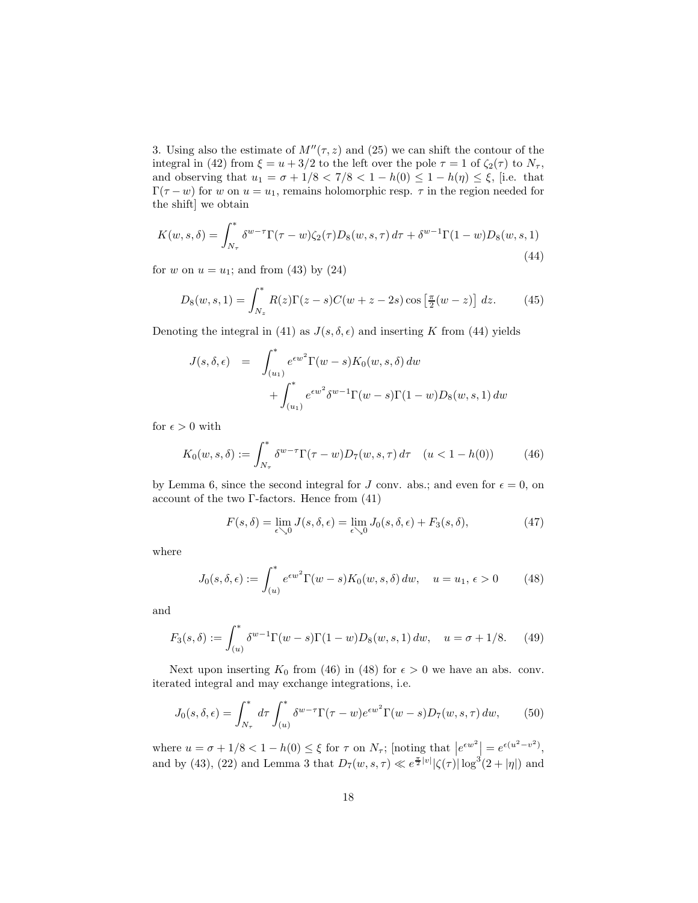3. Using also the estimate of  $M''(\tau, z)$  and (25) we can shift the contour of the integral in (42) from  $\xi = u + 3/2$  to the left over the pole  $\tau = 1$  of  $\zeta_2(\tau)$  to  $N_{\tau}$ , and observing that  $u_1 = \sigma + 1/8 < 7/8 < 1 - h(0) \leq 1 - h(\eta) \leq \xi$ , [i.e. that  $\Gamma(\tau - w)$  for w on  $u = u_1$ , remains holomorphic resp.  $\tau$  in the region needed for the shift] we obtain

$$
K(w,s,\delta) = \int_{N_{\tau}}^{*} \delta^{w-\tau} \Gamma(\tau - w) \zeta_2(\tau) D_8(w,s,\tau) d\tau + \delta^{w-1} \Gamma(1 - w) D_8(w,s,1)
$$
\n(44)

for w on  $u = u_1$ ; and from (43) by (24)

$$
D_8(w,s,1) = \int_{N_z}^* R(z)\Gamma(z-s)C(w+z-2s)\cos\left[\frac{\pi}{2}(w-z)\right]dz.
$$
 (45)

Denoting the integral in (41) as  $J(s, \delta, \epsilon)$  and inserting K from (44) yields

$$
J(s, \delta, \epsilon) = \int_{(u_1)}^* e^{\epsilon w^2} \Gamma(w - s) K_0(w, s, \delta) dw
$$
  
+ 
$$
\int_{(u_1)}^* e^{\epsilon w^2} \delta^{w-1} \Gamma(w - s) \Gamma(1 - w) D_8(w, s, 1) dw
$$

for  $\epsilon > 0$  with

$$
K_0(w, s, \delta) := \int_{N_\tau}^s \delta^{w-\tau} \Gamma(\tau - w) D_7(w, s, \tau) d\tau \quad (u < 1 - h(0)) \tag{46}
$$

by Lemma 6, since the second integral for J conv. abs.; and even for  $\epsilon = 0$ , on account of the two  $\Gamma$ -factors. Hence from (41)

$$
F(s,\delta) = \lim_{\epsilon \searrow 0} J(s,\delta,\epsilon) = \lim_{\epsilon \searrow 0} J_0(s,\delta,\epsilon) + F_3(s,\delta),
$$
\n(47)

where

$$
J_0(s,\delta,\epsilon) := \int_{(u)}^* e^{\epsilon w^2} \Gamma(w-s) K_0(w,s,\delta) dw, \quad u = u_1, \epsilon > 0 \tag{48}
$$

and

$$
F_3(s,\delta) := \int_{(u)}^* \delta^{w-1} \Gamma(w-s) \Gamma(1-w) D_8(w,s,1) \, dw, \quad u = \sigma + 1/8. \tag{49}
$$

Next upon inserting  $K_0$  from (46) in (48) for  $\epsilon > 0$  we have an abs. conv. iterated integral and may exchange integrations, i.e.

$$
J_0(s,\delta,\epsilon) = \int_{N_\tau}^* d\tau \int_{(u)}^* \delta^{w-\tau} \Gamma(\tau - w) e^{\epsilon w^2} \Gamma(w - s) D_7(w,s,\tau) dw, \qquad (50)
$$

where  $u = \sigma + 1/8 < 1 - h(0) \leq \xi$  for  $\tau$  on  $N_{\tau}$ ; [noting that  $\left| e^{\epsilon w^2} \right| = e^{\epsilon(u^2 - v^2)}$ , and by (43), (22) and Lemma 3 that  $D_7(w, s, \tau) \ll e^{\frac{\pi}{2}|v|} |\zeta(\tau)| \log^3(2+|\eta|)$  and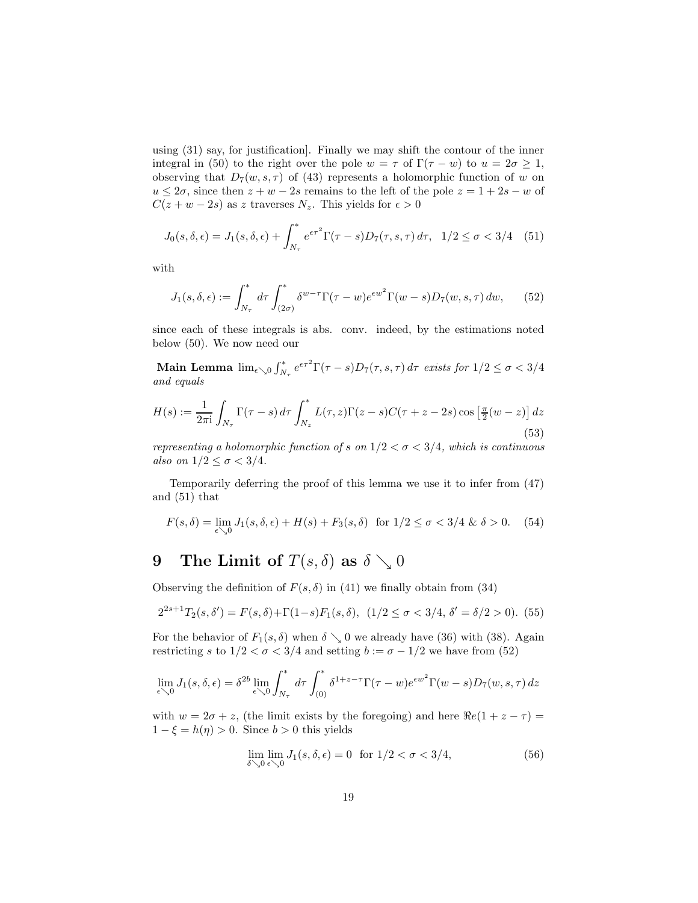using (31) say, for justification]. Finally we may shift the contour of the inner integral in (50) to the right over the pole  $w = \tau$  of  $\Gamma(\tau - w)$  to  $u = 2\sigma \geq 1$ , observing that  $D_7(w, s, \tau)$  of (43) represents a holomorphic function of w on  $u \leq 2\sigma$ , since then  $z + w - 2s$  remains to the left of the pole  $z = 1 + 2s - w$  of  $C(z + w - 2s)$  as z traverses  $N_z$ . This yields for  $\epsilon > 0$ 

$$
J_0(s, \delta, \epsilon) = J_1(s, \delta, \epsilon) + \int_{N_\tau}^* e^{\epsilon \tau^2} \Gamma(\tau - s) D_7(\tau, s, \tau) d\tau, \ \ 1/2 \le \sigma < 3/4 \tag{51}
$$

with

$$
J_1(s, \delta, \epsilon) := \int_{N_\tau}^* d\tau \int_{(2\sigma)}^* \delta^{w-\tau} \Gamma(\tau - w) e^{\epsilon w^2} \Gamma(w - s) D_7(w, s, \tau) dw, \tag{52}
$$

since each of these integrals is abs. conv. indeed, by the estimations noted below (50). We now need our

Main Lemma  $\lim_{\epsilon \searrow 0} \int_{N_{\tau}}^* e^{\epsilon \tau^2} \Gamma(\tau - s) D_7(\tau, s, \tau) d\tau$  exists for  $1/2 \le \sigma < 3/4$ and equals

$$
H(s) := \frac{1}{2\pi i} \int_{N_\tau} \Gamma(\tau - s) d\tau \int_{N_z}^* L(\tau, z) \Gamma(z - s) C(\tau + z - 2s) \cos\left[\frac{\pi}{2}(w - z)\right] dz
$$
\n(53)

representing a holomorphic function of s on  $1/2 < \sigma < 3/4$ , which is continuous also on  $1/2 \leq \sigma < 3/4$ .

Temporarily deferring the proof of this lemma we use it to infer from (47) and (51) that

$$
F(s,\delta) = \lim_{\epsilon \searrow 0} J_1(s,\delta,\epsilon) + H(s) + F_3(s,\delta) \quad \text{for } 1/2 \le \sigma < 3/4 \, \& \delta > 0. \tag{54}
$$

# 9 The Limit of  $T(s, \delta)$  as  $\delta \searrow 0$

Observing the definition of  $F(s, \delta)$  in (41) we finally obtain from (34)

$$
2^{2s+1}T_2(s,\delta') = F(s,\delta) + \Gamma(1-s)F_1(s,\delta), \ (1/2 \le \sigma < 3/4, \delta' = \delta/2 > 0). \tag{55}
$$

For the behavior of  $F_1(s, \delta)$  when  $\delta \searrow 0$  we already have (36) with (38). Again restricting s to  $1/2 < \sigma < 3/4$  and setting  $b := \sigma - 1/2$  we have from (52)

$$
\lim_{\epsilon \searrow 0} J_1(s, \delta, \epsilon) = \delta^{2b} \lim_{\epsilon \searrow 0} \int_{N_\tau}^* d\tau \int_{(0)}^* \delta^{1+z-\tau} \Gamma(\tau - w) e^{\epsilon w^2} \Gamma(w - s) D_7(w, s, \tau) dz
$$

with  $w = 2\sigma + z$ , (the limit exists by the foregoing) and here  $\Re e(1 + z - \tau) =$  $1 - \xi = h(\eta) > 0$ . Since  $b > 0$  this yields

$$
\lim_{\delta \searrow 0} \lim_{\epsilon \searrow 0} J_1(s, \delta, \epsilon) = 0 \quad \text{for } 1/2 < \sigma < 3/4,
$$
\n(56)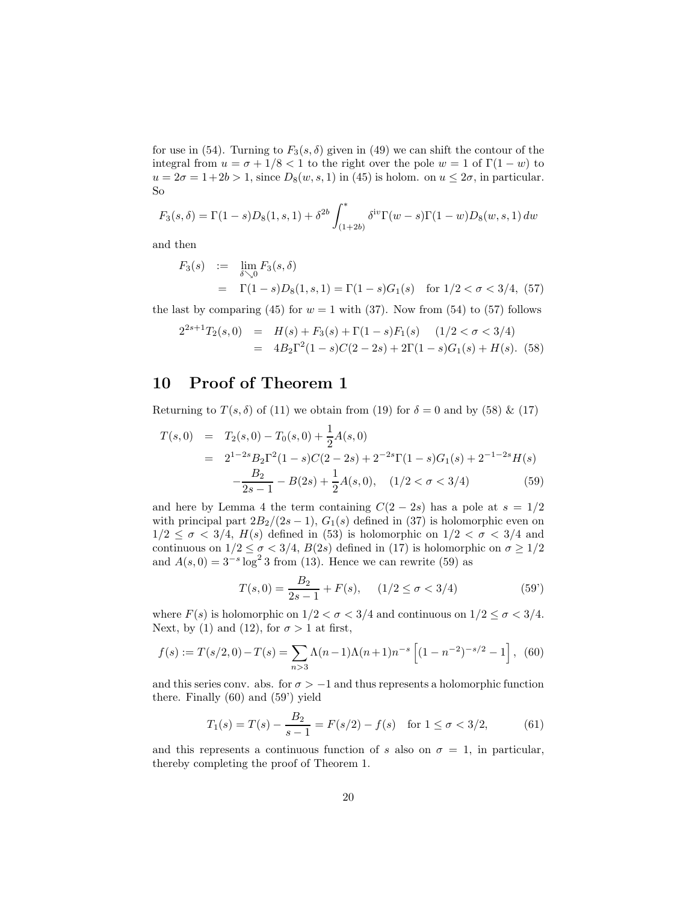for use in (54). Turning to  $F_3(s, \delta)$  given in (49) we can shift the contour of the integral from  $u = \sigma + 1/8 < 1$  to the right over the pole  $w = 1$  of  $\Gamma(1 - w)$  to  $u = 2\sigma = 1 + 2b > 1$ , since  $D_8(w, s, 1)$  in (45) is holom. on  $u \leq 2\sigma$ , in particular. So

$$
F_3(s,\delta) = \Gamma(1-s)D_8(1,s,1) + \delta^{2b} \int_{(1+2b)}^s \delta^{iv}\Gamma(w-s)\Gamma(1-w)D_8(w,s,1) dw
$$

and then

$$
F_3(s) := \lim_{\delta \searrow 0} F_3(s, \delta)
$$
  
=  $\Gamma(1 - s)D_8(1, s, 1) = \Gamma(1 - s)G_1(s)$  for  $1/2 < \sigma < 3/4$ , (57)

the last by comparing (45) for  $w = 1$  with (37). Now from (54) to (57) follows

$$
2^{2s+1}T_2(s,0) = H(s) + F_3(s) + \Gamma(1-s)F_1(s) \quad (1/2 < \sigma < 3/4)
$$
  
= 
$$
4B_2\Gamma^2(1-s)C(2-2s) + 2\Gamma(1-s)G_1(s) + H(s). \quad (58)
$$

### 10 Proof of Theorem 1

Returning to  $T(s, \delta)$  of (11) we obtain from (19) for  $\delta = 0$  and by (58) & (17)

$$
T(s,0) = T_2(s,0) - T_0(s,0) + \frac{1}{2}A(s,0)
$$
  
=  $2^{1-2s}B_2\Gamma^2(1-s)C(2-2s) + 2^{-2s}\Gamma(1-s)G_1(s) + 2^{-1-2s}H(s)$   

$$
-\frac{B_2}{2s-1} - B(2s) + \frac{1}{2}A(s,0), \quad (1/2 < \sigma < 3/4)
$$
 (59)

and here by Lemma 4 the term containing  $C(2-2s)$  has a pole at  $s = 1/2$ with principal part  $2B_2/(2s-1)$ ,  $G_1(s)$  defined in (37) is holomorphic even on  $1/2 \leq \sigma < 3/4$ ,  $H(s)$  defined in (53) is holomorphic on  $1/2 < \sigma < 3/4$  and continuous on  $1/2 \leq \sigma < 3/4$ ,  $B(2s)$  defined in (17) is holomorphic on  $\sigma \geq 1/2$ and  $A(s, 0) = 3^{-s} \log^2 3$  from (13). Hence we can rewrite (59) as

$$
T(s,0) = \frac{B_2}{2s - 1} + F(s), \quad (1/2 \le \sigma < 3/4)
$$
 (59')

where  $F(s)$  is holomorphic on  $1/2 < \sigma < 3/4$  and continuous on  $1/2 \leq \sigma < 3/4$ . Next, by (1) and (12), for  $\sigma > 1$  at first,

$$
f(s) := T(s/2, 0) - T(s) = \sum_{n>3} \Lambda(n-1)\Lambda(n+1)n^{-s} \left[ (1 - n^{-2})^{-s/2} - 1 \right], \tag{60}
$$

and this series conv. abs. for  $\sigma > -1$  and thus represents a holomorphic function there. Finally (60) and (59') yield

$$
T_1(s) = T(s) - \frac{B_2}{s - 1} = F(s/2) - f(s) \quad \text{for } 1 \le \sigma < 3/2,\tag{61}
$$

and this represents a continuous function of s also on  $\sigma = 1$ , in particular, thereby completing the proof of Theorem 1.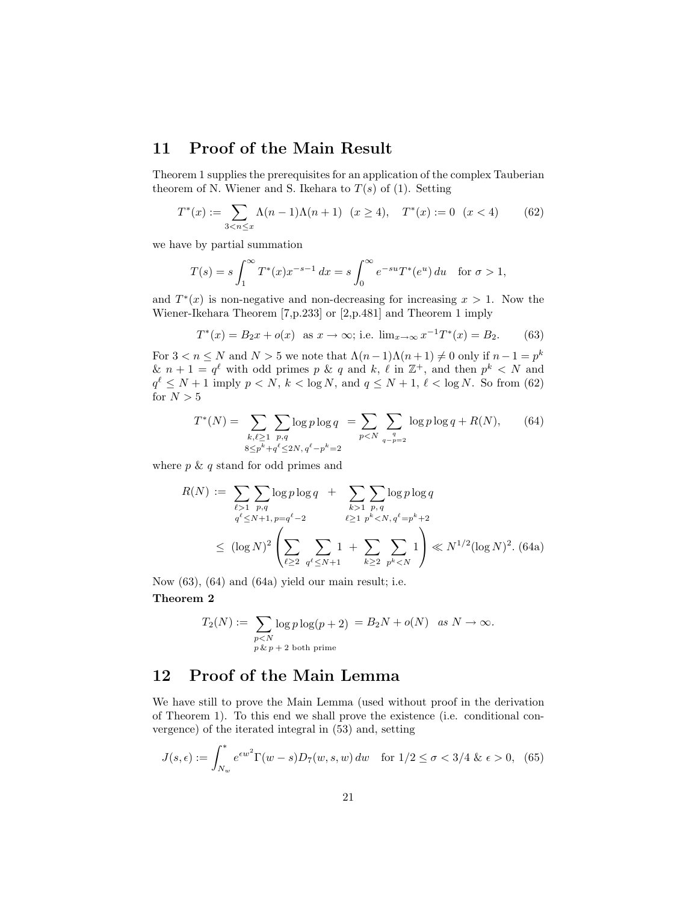### 11 Proof of the Main Result

Theorem 1 supplies the prerequisites for an application of the complex Tauberian theorem of N. Wiener and S. Ikehara to  $T(s)$  of (1). Setting

$$
T^*(x) := \sum_{3 < n \le x} \Lambda(n-1)\Lambda(n+1) \quad (x \ge 4), \quad T^*(x) := 0 \quad (x < 4) \tag{62}
$$

we have by partial summation

$$
T(s) = s \int_1^{\infty} T^*(x) x^{-s-1} dx = s \int_0^{\infty} e^{-su} T^*(e^u) du \text{ for } \sigma > 1,
$$

and  $T^*(x)$  is non-negative and non-decreasing for increasing  $x > 1$ . Now the Wiener-Ikehara Theorem [7,p.233] or [2,p.481] and Theorem 1 imply

$$
T^*(x) = B_2x + o(x) \text{ as } x \to \infty; \text{ i.e. } \lim_{x \to \infty} x^{-1}T^*(x) = B_2. \quad (63)
$$

For  $3 < n \le N$  and  $N > 5$  we note that  $\Lambda(n-1)\Lambda(n+1) \neq 0$  only if  $n-1 = p^k$  $\& n+1 = q^{\ell}$  with odd primes p  $\& q$  and k,  $\ell$  in  $\mathbb{Z}^{+}$ , and then  $p^{k} < N$  and  $q^{\ell} \leq N+1$  imply  $p < N$ ,  $k < \log N$ , and  $q \leq N+1$ ,  $\ell < \log N$ . So from (62) for  $N > 5$ 

$$
T^*(N) = \sum_{\substack{k,\ell \ge 1 \ p,q \\ 8 \le p^k + q^\ell \le 2N, q^\ell - p^k = 2}} \log p \log q = \sum_{p < N} \sum_{\substack{q \ q - p = 2}} \log p \log q + R(N),\tag{64}
$$

where  $p \& q$  stand for odd primes and

$$
R(N) := \sum_{\ell > 1} \sum_{p,q} \log p \log q + \sum_{k>1} \sum_{p,q} \log p \log q
$$
  

$$
q^{\ell} \le N+1, p=q^{\ell}-2 \qquad \ell \ge 1 \ p^{k} < N, q^{\ell}=p^{k}+2
$$
  

$$
\le (\log N)^{2} \left( \sum_{\ell \ge 2} \sum_{q^{\ell} \le N+1} 1 + \sum_{k \ge 2} \sum_{p^{k} < N} 1 \right) \ll N^{1/2} (\log N)^{2}. (64a)
$$

Now (63), (64) and (64a) yield our main result; i.e.

Theorem 2

$$
T_2(N) := \sum_{\substack{p < N \\ p \& p+2 \text{ both prime}}} \log p \log(p+2) = B_2N + o(N) \quad \text{as } N \to \infty.
$$

# 12 Proof of the Main Lemma

We have still to prove the Main Lemma (used without proof in the derivation of Theorem 1). To this end we shall prove the existence (i.e. conditional convergence) of the iterated integral in (53) and, setting

$$
J(s,\epsilon) := \int_{N_w}^{\infty} e^{\epsilon w^2} \Gamma(w-s) D_7(w,s,w) \, dw \quad \text{for } 1/2 \le \sigma < 3/4 \, \& \, \epsilon > 0,\tag{65}
$$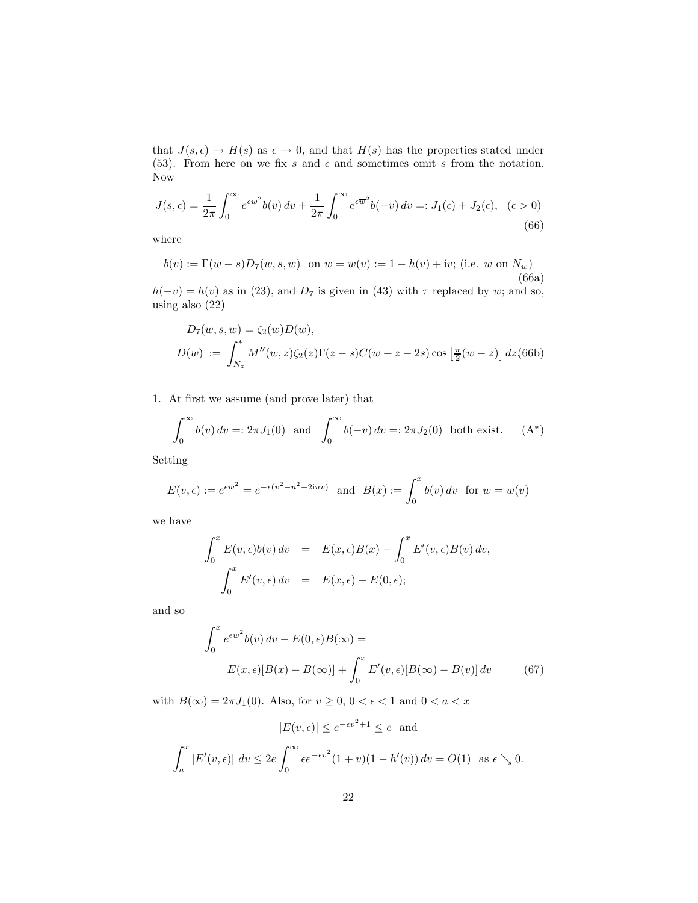that  $J(s, \epsilon) \to H(s)$  as  $\epsilon \to 0$ , and that  $H(s)$  has the properties stated under (53). From here on we fix s and  $\epsilon$  and sometimes omit s from the notation. Now

$$
J(s,\epsilon) = \frac{1}{2\pi} \int_0^\infty e^{\epsilon w^2} b(v) dv + \frac{1}{2\pi} \int_0^\infty e^{\epsilon \overline{w}^2} b(-v) dv =: J_1(\epsilon) + J_2(\epsilon), \quad (\epsilon > 0)
$$
\n(66)

where

$$
b(v) := \Gamma(w - s)D_7(w, s, w) \text{ on } w = w(v) := 1 - h(v) + iv; \text{ (i.e. } w \text{ on } N_w)
$$
\n(66a)

 $h(-v) = h(v)$  as in (23), and  $D_7$  is given in (43) with  $\tau$  replaced by w; and so, using also (22)

$$
D_7(w, s, w) = \zeta_2(w)D(w),
$$
  
\n
$$
D(w) := \int_{N_z}^* M''(w, z)\zeta_2(z)\Gamma(z - s)C(w + z - 2s)\cos\left[\frac{\pi}{2}(w - z)\right]dz(66b)
$$

1. At first we assume (and prove later) that

$$
\int_0^\infty b(v) dv =: 2\pi J_1(0) \text{ and } \int_0^\infty b(-v) dv =: 2\pi J_2(0) \text{ both exist.} \quad (A^*)
$$

Setting

$$
E(v, \epsilon) := e^{\epsilon w^2} = e^{-\epsilon (v^2 - u^2 - 2iuv)} \text{ and } B(x) := \int_0^x b(v) dv \text{ for } w = w(v)
$$

we have

$$
\int_0^x E(v, \epsilon) b(v) dv = E(x, \epsilon) B(x) - \int_0^x E'(v, \epsilon) B(v) dv,
$$
  

$$
\int_0^x E'(v, \epsilon) dv = E(x, \epsilon) - E(0, \epsilon);
$$

and so

$$
\int_0^x e^{\epsilon w^2} b(v) dv - E(0, \epsilon) B(\infty) =
$$
  

$$
E(x, \epsilon) [B(x) - B(\infty)] + \int_0^x E'(v, \epsilon) [B(\infty) - B(v)] dv
$$
(67)

with  $B(\infty) = 2\pi J_1(0)$ . Also, for  $v \ge 0$ ,  $0 < \epsilon < 1$  and  $0 < a < x$ 

$$
|E(v, \epsilon)| \le e^{-\epsilon v^2 + 1} \le e \text{ and}
$$

$$
\int_a^x |E'(v, \epsilon)| dv \le 2e \int_0^\infty \epsilon e^{-\epsilon v^2} (1 + v)(1 - h'(v)) dv = O(1) \text{ as } \epsilon \searrow 0.
$$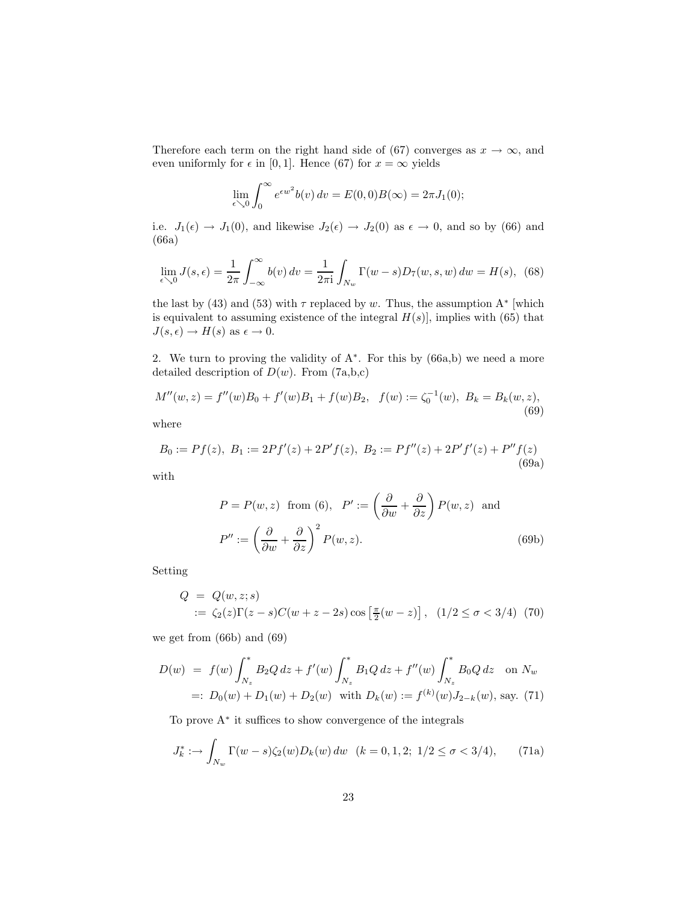Therefore each term on the right hand side of (67) converges as  $x \to \infty$ , and even uniformly for  $\epsilon$  in [0, 1]. Hence (67) for  $x = \infty$  yields

$$
\lim_{\epsilon \searrow 0} \int_0^\infty e^{\epsilon w^2} b(v) \, dv = E(0,0)B(\infty) = 2\pi J_1(0);
$$

i.e.  $J_1(\epsilon) \to J_1(0)$ , and likewise  $J_2(\epsilon) \to J_2(0)$  as  $\epsilon \to 0$ , and so by (66) and (66a)

$$
\lim_{\epsilon \searrow 0} J(s, \epsilon) = \frac{1}{2\pi} \int_{-\infty}^{\infty} b(v) dv = \frac{1}{2\pi i} \int_{N_w} \Gamma(w - s) D_7(w, s, w) dw = H(s), \tag{68}
$$

the last by (43) and (53) with  $\tau$  replaced by w. Thus, the assumption  $A^*$  [which is equivalent to assuming existence of the integral  $H(s)$ , implies with (65) that  $J(s, \epsilon) \to H(s)$  as  $\epsilon \to 0$ .

2. We turn to proving the validity of  $A^*$ . For this by  $(66a,b)$  we need a more detailed description of  $D(w)$ . From  $(7a,b,c)$ 

$$
M''(w, z) = f''(w)B_0 + f'(w)B_1 + f(w)B_2, \quad f(w) := \zeta_0^{-1}(w), \ B_k = B_k(w, z), \tag{69}
$$

where

$$
B_0 := Pf(z), B_1 := 2Pf'(z) + 2P'f(z), B_2 := Pf''(z) + 2P'f'(z) + P''f(z)
$$
\n(69a)

with

$$
P = P(w, z) \text{ from (6)}, \quad P' := \left(\frac{\partial}{\partial w} + \frac{\partial}{\partial z}\right) P(w, z) \text{ and}
$$

$$
P'' := \left(\frac{\partial}{\partial w} + \frac{\partial}{\partial z}\right)^2 P(w, z).
$$
(69b)

Setting

$$
Q = Q(w, z; s)
$$
  
 :=  $\zeta_2(z)\Gamma(z - s)C(w + z - 2s)\cos\left[\frac{\pi}{2}(w - z)\right]$ ,  $(1/2 \le \sigma < 3/4)$  (70)

we get from (66b) and (69)

$$
D(w) = f(w) \int_{N_z}^* B_2 Q \, dz + f'(w) \int_{N_z}^* B_1 Q \, dz + f''(w) \int_{N_z}^* B_0 Q \, dz \quad \text{on } N_w
$$
  
=:  $D_0(w) + D_1(w) + D_2(w)$  with  $D_k(w) := f^{(k)}(w) J_{2-k}(w)$ , say. (71)

To prove A<sup>∗</sup> it suffices to show convergence of the integrals

$$
J_k^* := \int_{N_w} \Gamma(w - s) \zeta_2(w) D_k(w) \, dw \quad (k = 0, 1, 2; \ 1/2 \le \sigma < 3/4), \tag{71a}
$$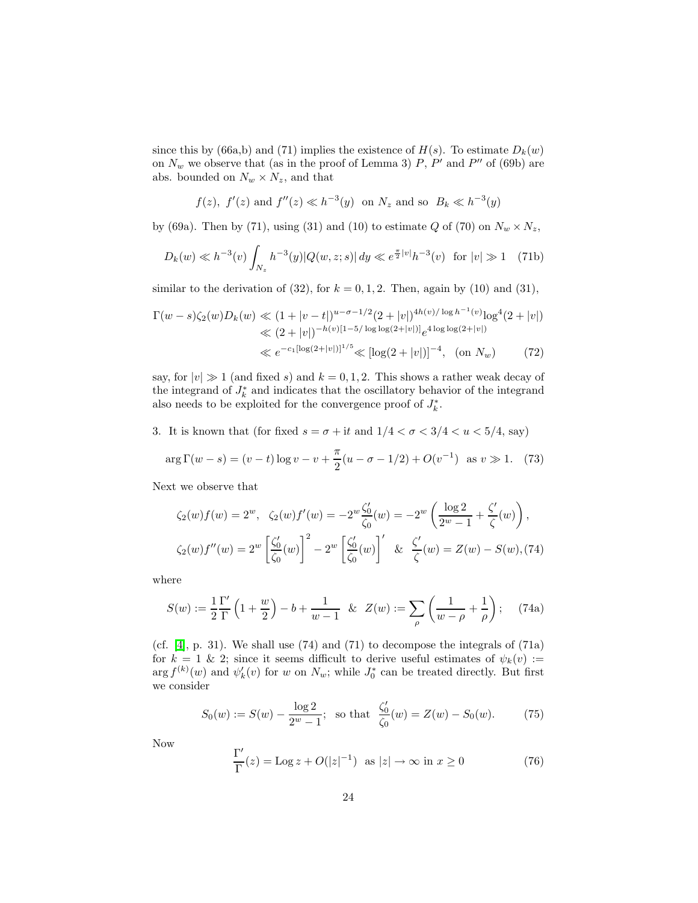since this by (66a,b) and (71) implies the existence of  $H(s)$ . To estimate  $D_k(w)$ on  $N_w$  we observe that (as in the proof of Lemma 3)  $P$ ,  $P'$  and  $P''$  of (69b) are abs. bounded on  $N_w \times N_z$ , and that

$$
f(z)
$$
,  $f'(z)$  and  $f''(z) \ll h^{-3}(y)$  on  $N_z$  and so  $B_k \ll h^{-3}(y)$ 

by (69a). Then by (71), using (31) and (10) to estimate Q of (70) on  $N_w \times N_z$ ,

$$
D_k(w) \ll h^{-3}(v) \int_{N_z} h^{-3}(y) |Q(w, z; s)| dy \ll e^{\frac{\pi}{2}|v|} h^{-3}(v) \text{ for } |v| \gg 1 \quad (71b)
$$

similar to the derivation of (32), for  $k = 0, 1, 2$ . Then, again by (10) and (31),

$$
\Gamma(w-s)\zeta_2(w)D_k(w) \ll (1+|v-t|)^{u-\sigma-1/2}(2+|v|)^{4h(v)/\log h^{-1}(v)}\log^4(2+|v|)
$$
  

$$
\ll (2+|v|)^{-h(v)[1-5/\log\log(2+|v|)]}e^{4\log\log(2+|v|)}
$$
  

$$
\ll e^{-c_1[\log(2+|v|)]^{1/5}} \ll [\log(2+|v|)]^{-4}, \text{ (on } N_w)
$$
 (72)

say, for  $|v| \gg 1$  (and fixed s) and  $k = 0, 1, 2$ . This shows a rather weak decay of the integrand of  $J_k^*$  and indicates that the oscillatory behavior of the integrand also needs to be exploited for the convergence proof of  $J_k^*$ .

3. It is known that (for fixed  $s=\sigma+{\rm i} t$  and  $1/4<\sigma<3/4 say)</u>$ 

$$
\arg \Gamma(w - s) = (v - t) \log v - v + \frac{\pi}{2}(u - \sigma - 1/2) + O(v^{-1}) \text{ as } v \gg 1. \tag{73}
$$

Next we observe that

$$
\zeta_2(w)f(w) = 2^w, \quad \zeta_2(w)f'(w) = -2^w \frac{\zeta_0'}{\zeta_0}(w) = -2^w \left(\frac{\log 2}{2^w - 1} + \frac{\zeta'}{\zeta}(w)\right),
$$
  

$$
\zeta_2(w)f''(w) = 2^w \left[\frac{\zeta_0'}{\zeta_0}(w)\right]^2 - 2^w \left[\frac{\zeta_0'}{\zeta_0}(w)\right]' \& \frac{\zeta'}{\zeta}(w) = Z(w) - S(w),
$$
(74)

where

$$
S(w) := \frac{1}{2} \frac{\Gamma'}{\Gamma} \left( 1 + \frac{w}{2} \right) - b + \frac{1}{w - 1} \& Z(w) := \sum_{\rho} \left( \frac{1}{w - \rho} + \frac{1}{\rho} \right); \quad (74a)
$$

(cf.  $[4]$ , p. 31). We shall use  $(74)$  and  $(71)$  to decompose the integrals of  $(71a)$ for  $k = 1 \& 2$ ; since it seems difficult to derive useful estimates of  $\psi_k(v) :=$  $\arg f^{(k)}(w)$  and  $\psi'_k(v)$  for w on  $N_w$ ; while  $J_0^*$  can be treated directly. But first we consider

$$
S_0(w) := S(w) - \frac{\log 2}{2^w - 1}; \text{ so that } \frac{\zeta_0'}{\zeta_0}(w) = Z(w) - S_0(w). \tag{75}
$$

Now

$$
\frac{\Gamma'}{\Gamma}(z) = \text{Log } z + O(|z|^{-1}) \quad \text{as } |z| \to \infty \text{ in } x \ge 0 \tag{76}
$$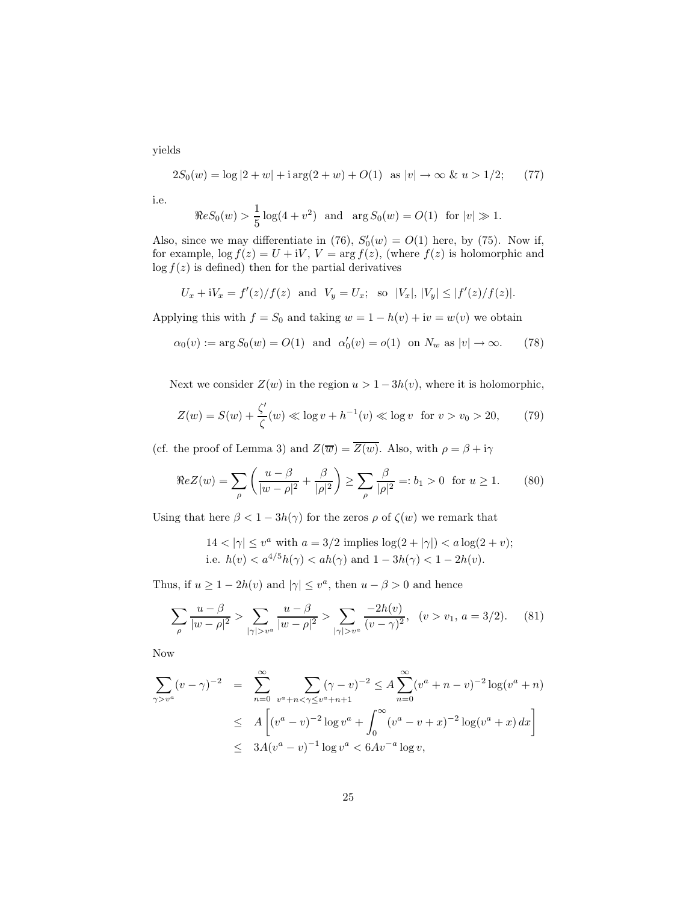yields

$$
2S_0(w) = \log|2 + w| + i \arg(2 + w) + O(1) \quad \text{as } |v| \to \infty \ \& \ u > 1/2; \tag{77}
$$

i.e.

$$
\Re eS_0(w) > \frac{1}{5}\log(4+v^2)
$$
 and  $\arg S_0(w) = O(1)$  for  $|v| \gg 1$ .

Also, since we may differentiate in (76),  $S'_0(w) = O(1)$  here, by (75). Now if, for example,  $\log f(z) = U + iV$ ,  $V = \arg f(z)$ , (where  $f(z)$  is holomorphic and  $\log f(z)$  is defined) then for the partial derivatives

$$
U_x + iV_x = f'(z)/f(z)
$$
 and  $V_y = U_x$ ; so  $|V_x|, |V_y| \le |f'(z)/f(z)|$ .

Applying this with  $f = S_0$  and taking  $w = 1 - h(v) + iv = w(v)$  we obtain

$$
\alpha_0(v) := \arg S_0(w) = O(1)
$$
 and  $\alpha'_0(v) = o(1)$  on  $N_w$  as  $|v| \to \infty$ . (78)

Next we consider  $Z(w)$  in the region  $u > 1 - 3h(v)$ , where it is holomorphic,

$$
Z(w) = S(w) + \frac{\zeta'}{\zeta}(w) \ll \log v + h^{-1}(v) \ll \log v \text{ for } v > v_0 > 20,
$$
 (79)

(cf. the proof of Lemma 3) and  $Z(\overline{w}) = \overline{Z(w)}$ . Also, with  $\rho = \beta + i\gamma$ 

$$
\Re e Z(w) = \sum_{\rho} \left( \frac{u - \beta}{|w - \rho|^2} + \frac{\beta}{|\rho|^2} \right) \ge \sum_{\rho} \frac{\beta}{|\rho|^2} =: b_1 > 0 \text{ for } u \ge 1. \tag{80}
$$

Using that here  $\beta < 1 - 3h(\gamma)$  for the zeros  $\rho$  of  $\zeta(w)$  we remark that

$$
14 < |\gamma| \le v^a
$$
 with  $a = 3/2$  implies  $\log(2 + |\gamma|) < a \log(2 + v)$ ; i.e.  $h(v) < a^{4/5}h(\gamma) < ah(\gamma)$  and  $1 - 3h(\gamma) < 1 - 2h(v)$ .

Thus, if  $u \ge 1 - 2h(v)$  and  $|\gamma| \le v^a$ , then  $u - \beta > 0$  and hence

$$
\sum_{\rho} \frac{u - \beta}{|w - \rho|^2} > \sum_{|\gamma| > v^a} \frac{u - \beta}{|w - \rho|^2} > \sum_{|\gamma| > v^a} \frac{-2h(v)}{(v - \gamma)^2}, \quad (v > v_1, a = 3/2). \tag{81}
$$

Now

$$
\sum_{\gamma > v^a} (v - \gamma)^{-2} = \sum_{n=0}^{\infty} \sum_{v^a + n < \gamma \le v^a + n + 1} (\gamma - v)^{-2} \le A \sum_{n=0}^{\infty} (v^a + n - v)^{-2} \log(v^a + n)
$$
  
\n
$$
\le A \left[ (v^a - v)^{-2} \log v^a + \int_0^{\infty} (v^a - v + x)^{-2} \log(v^a + x) dx \right]
$$
  
\n
$$
\le 3A(v^a - v)^{-1} \log v^a < 6Av^{-a} \log v,
$$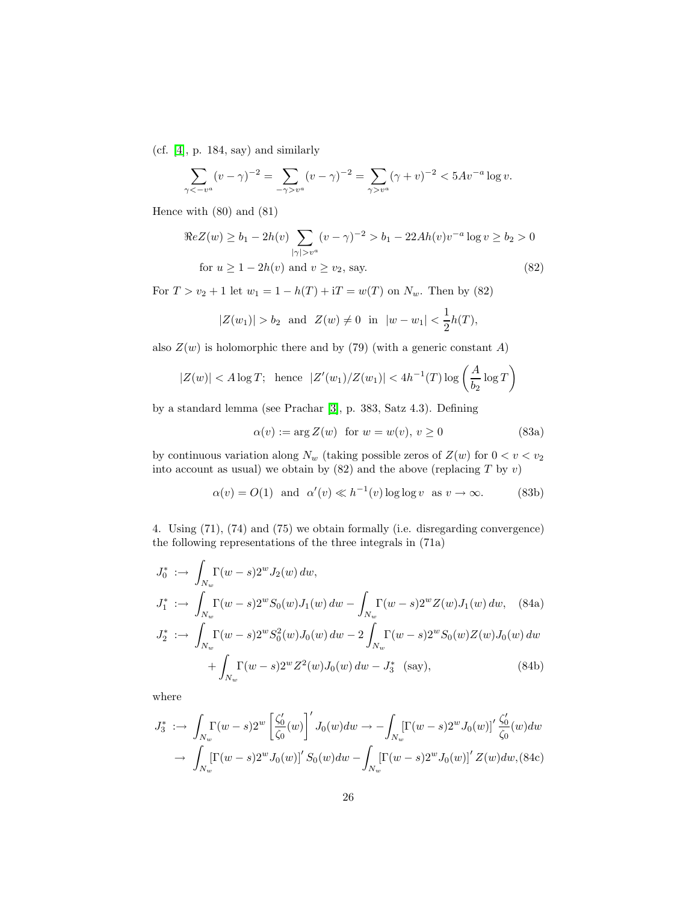(cf. [\[4\]](#page-37-2), p. 184, say) and similarly

$$
\sum_{\gamma < -v^a} (v - \gamma)^{-2} = \sum_{-\gamma > v^a} (v - \gamma)^{-2} = \sum_{\gamma > v^a} (\gamma + v)^{-2} < 5Av^{-a} \log v.
$$

Hence with (80) and (81)

$$
\Re e Z(w) \ge b_1 - 2h(v) \sum_{|\gamma| > v^a} (v - \gamma)^{-2} > b_1 - 22Ah(v)v^{-a} \log v \ge b_2 > 0
$$
  
for  $u \ge 1 - 2h(v)$  and  $v \ge v_2$ , say. (82)

For  $T > v_2 + 1$  let  $w_1 = 1 - h(T) + iT = w(T)$  on  $N_w$ . Then by (82)

$$
|Z(w_1)| > b_2
$$
 and  $Z(w) \neq 0$  in  $|w - w_1| < \frac{1}{2}h(T)$ ,

also  $Z(w)$  is holomorphic there and by (79) (with a generic constant A)

$$
|Z(w)| < A \log T; \quad \text{hence} \quad |Z'(w_1)/Z(w_1)| < 4h^{-1}(T) \log \left( \frac{A}{b_2} \log T \right)
$$

by a standard lemma (see Prachar [\[3\]](#page-37-4), p. 383, Satz 4.3). Defining

$$
\alpha(v) := \arg Z(w) \quad \text{for } w = w(v), \, v \ge 0 \tag{83a}
$$

by continuous variation along  $N_w$  (taking possible zeros of  $Z(w)$  for  $0 < v < v_2$ into account as usual) we obtain by  $(82)$  and the above (replacing T by v)

$$
\alpha(v) = O(1) \quad \text{and} \quad \alpha'(v) \ll h^{-1}(v) \log \log v \quad \text{as} \quad v \to \infty. \tag{83b}
$$

4. Using (71), (74) and (75) we obtain formally (i.e. disregarding convergence) the following representations of the three integrals in (71a)

$$
J_0^* := \int_{N_w} \Gamma(w - s) 2^w J_2(w) \, dw,
$$
  
\n
$$
J_1^* := \int_{N_w} \Gamma(w - s) 2^w S_0(w) J_1(w) \, dw - \int_{N_w} \Gamma(w - s) 2^w Z(w) J_1(w) \, dw, \quad (84a)
$$
  
\n
$$
J_2^* := \int_{N_w} \Gamma(w - s) 2^w S_0^2(w) J_0(w) \, dw - 2 \int_{N_w} \Gamma(w - s) 2^w S_0(w) Z(w) J_0(w) \, dw
$$
  
\n
$$
+ \int_{N_w} \Gamma(w - s) 2^w Z^2(w) J_0(w) \, dw - J_3^* \quad (say), \quad (84b)
$$

where

$$
J_3^* \; : \; \to \; \int_{N_w} \Gamma(w - s) 2^w \left[ \frac{\zeta_0'}{\zeta_0}(w) \right]' J_0(w) dw \to \; - \int_{N_w} \left[ \Gamma(w - s) 2^w J_0(w) \right]' \frac{\zeta_0'}{\zeta_0}(w) dw
$$

$$
\; \to \; \int_{N_w} \left[ \Gamma(w - s) 2^w J_0(w) \right]' S_0(w) dw - \int_{N_w} \left[ \Gamma(w - s) 2^w J_0(w) \right]' Z(w) dw, \text{(84c)}
$$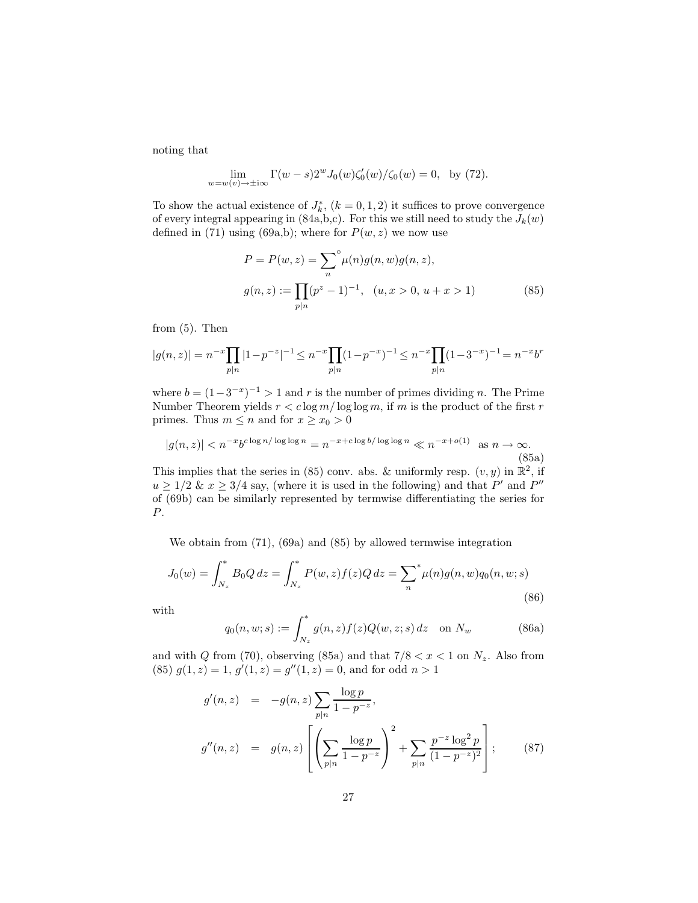noting that

$$
\lim_{w=w(v)\to\pm i\infty} \Gamma(w-s)2^w J_0(w)\zeta_0'(w)/\zeta_0(w) = 0, \text{ by (72)}.
$$

To show the actual existence of  $J_k^*$ ,  $(k = 0, 1, 2)$  it suffices to prove convergence of every integral appearing in (84a,b,c). For this we still need to study the  $J_k(w)$ defined in (71) using (69a,b); where for  $P(w, z)$  we now use

$$
P = P(w, z) = \sum_{n}^{\infty} \mu(n) g(n, w) g(n, z),
$$
  

$$
g(n, z) := \prod_{p \mid n} (p^{z} - 1)^{-1}, \quad (u, x > 0, u + x > 1)
$$
 (85)

from (5). Then

$$
|g(n,z)| = n^{-x} \prod_{p|n} |1-p^{-z}|^{-1} \le n^{-x} \prod_{p|n} (1-p^{-x})^{-1} \le n^{-x} \prod_{p|n} (1-3^{-x})^{-1} = n^{-x}b^n
$$

where  $b = (1-3^{-x})^{-1} > 1$  and r is the number of primes dividing n. The Prime Number Theorem yields  $r < c \log m / \log \log m$ , if m is the product of the first r primes. Thus  $m \leq n$  and for  $x \geq x_0 > 0$ 

$$
|g(n,z)| < n^{-x}b^{c\log n/\log\log n} = n^{-x+c\log b/\log\log n} \ll n^{-x+o(1)} \quad \text{as } n \to \infty.
$$
\n(85a)

This implies that the series in (85) conv. abs. & uniformly resp.  $(v, y)$  in  $\mathbb{R}^2$ , if  $u \geq 1/2$  &  $x \geq 3/4$  say, (where it is used in the following) and that P' and P'' of (69b) can be similarly represented by termwise differentiating the series for P.

We obtain from (71), (69a) and (85) by allowed termwise integration

$$
J_0(w) = \int_{N_z}^* B_0 Q \, dz = \int_{N_z}^* P(w, z) f(z) Q \, dz = \sum_n^* \mu(n) g(n, w) q_0(n, w; s)
$$
\n(86)

with

$$
q_0(n, w; s) := \int_{N_z}^* g(n, z) f(z) Q(w, z; s) dz \quad \text{on } N_w \tag{86a}
$$

and with  $Q$  from (70), observing (85a) and that  $7/8 < x < 1$  on  $N_z$ . Also from (85)  $g(1, z) = 1$ ,  $g'(1, z) = g''(1, z) = 0$ , and for odd  $n > 1$ 

$$
g'(n, z) = -g(n, z) \sum_{p|n} \frac{\log p}{1 - p^{-z}},
$$
  

$$
g''(n, z) = g(n, z) \left[ \left( \sum_{p|n} \frac{\log p}{1 - p^{-z}} \right)^2 + \sum_{p|n} \frac{p^{-z} \log^2 p}{(1 - p^{-z})^2} \right];
$$
(87)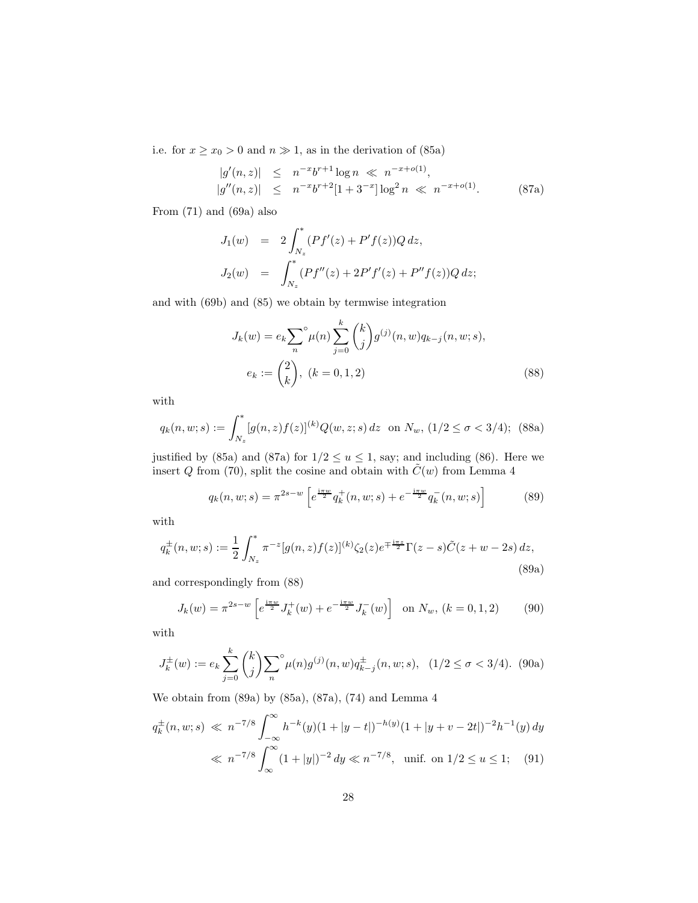i.e. for  $x \geq x_0 > 0$  and  $n \gg 1$ , as in the derivation of (85a)

$$
|g'(n, z)| \leq n^{-x} b^{r+1} \log n \ll n^{-x+o(1)},
$$
  
\n
$$
|g''(n, z)| \leq n^{-x} b^{r+2} [1 + 3^{-x}] \log^2 n \ll n^{-x+o(1)}.
$$
 (87a)

From (71) and (69a) also

$$
J_1(w) = 2 \int_{N_z}^* (Pf'(z) + P'f(z))Q dz,
$$
  
\n
$$
J_2(w) = \int_{N_z}^* (Pf''(z) + 2P'f'(z) + P''f(z))Q dz;
$$

and with (69b) and (85) we obtain by termwise integration

$$
J_k(w) = e_k \sum_{n}^{\infty} \mu(n) \sum_{j=0}^{k} {k \choose j} g^{(j)}(n, w) q_{k-j}(n, w; s),
$$
  

$$
e_k := {2 \choose k}, \ (k = 0, 1, 2)
$$
 (88)

with

$$
q_k(n, w; s) := \int_{N_z}^* [g(n, z) f(z)]^{(k)} Q(w, z; s) dz \text{ on } N_w, (1/2 \le \sigma < 3/4); (88a)
$$

justified by (85a) and (87a) for  $1/2 \le u \le 1$ , say; and including (86). Here we insert Q from (70), split the cosine and obtain with  $\tilde{C}(w)$  from Lemma 4

$$
q_k(n, w; s) = \pi^{2s-w} \left[ e^{\frac{i\pi w}{2}} q_k^+(n, w; s) + e^{-\frac{i\pi w}{2}} q_k^-(n, w; s) \right]
$$
(89)

with

$$
q_k^{\pm}(n, w; s) := \frac{1}{2} \int_{N_z}^* \pi^{-z} [g(n, z) f(z)]^{(k)} \zeta_2(z) e^{\mp \frac{i\pi z}{2}} \Gamma(z - s) \tilde{C}(z + w - 2s) dz,
$$
\n(89a)

and correspondingly from (88)

$$
J_k(w) = \pi^{2s-w} \left[ e^{\frac{i\pi w}{2}} J_k^+(w) + e^{-\frac{i\pi w}{2}} J_k^-(w) \right] \text{ on } N_w, (k = 0, 1, 2)
$$
 (90)

with

$$
J_k^{\pm}(w) := e_k \sum_{j=0}^k {k \choose j} \sum_n^{\infty} \mu(n) g^{(j)}(n, w) q_{k-j}^{\pm}(n, w; s), \quad (1/2 \le \sigma < 3/4). \tag{90a}
$$

We obtain from (89a) by (85a), (87a), (74) and Lemma 4

$$
q_k^{\pm}(n, w; s) \ll n^{-7/8} \int_{-\infty}^{\infty} h^{-k}(y)(1 + |y - t|)^{-h(y)} (1 + |y + v - 2t|)^{-2} h^{-1}(y) dy
$$
  

$$
\ll n^{-7/8} \int_{-\infty}^{\infty} (1 + |y|)^{-2} dy \ll n^{-7/8}, \text{ unif. on } 1/2 \le u \le 1; \quad (91)
$$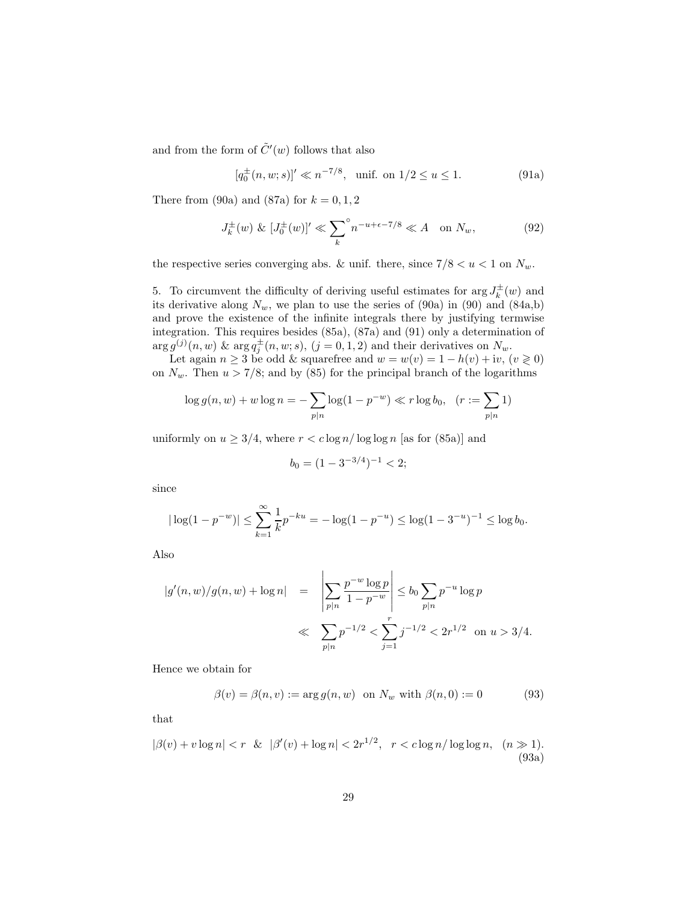and from the form of  $\tilde{C}'(w)$  follows that also

$$
[q_0^{\pm}(n, w; s)]' \ll n^{-7/8}, \text{ unif. on } 1/2 \le u \le 1. \tag{91a}
$$

There from (90a) and (87a) for  $k = 0, 1, 2$ 

$$
J_k^{\pm}(w) \& [J_0^{\pm}(w)]' \ll \sum_k^{\circ} n^{-u+\epsilon-7/8} \ll A \quad \text{on } N_w,\tag{92}
$$

the respective series converging abs. & unif. there, since  $7/8 < u < 1$  on  $N_w$ .

5. To circumvent the difficulty of deriving useful estimates for  $\arg J_k^{\pm}(w)$  and its derivative along  $N_w$ , we plan to use the series of  $(90a)$  in  $(90)$  and  $(84a,b)$ and prove the existence of the infinite integrals there by justifying termwise integration. This requires besides (85a), (87a) and (91) only a determination of  $\arg g^{(j)}(n,w)$  &  $\arg q_j^{\pm}(n,w;s)$ ,  $(j=0,1,2)$  and their derivatives on  $N_w$ .

Let again  $n \geq 3$  be odd & squarefree and  $w = w(v) = 1 - h(v) + iv$ ,  $(v \geq 0)$ on  $N_w$ . Then  $u > 7/8$ ; and by (85) for the principal branch of the logarithms

$$
\log g(n, w) + w \log n = -\sum_{p|n} \log(1 - p^{-w}) \ll r \log b_0, \quad (r := \sum_{p|n} 1)
$$

uniformly on  $u \geq 3/4$ , where  $r < c \log n / \log \log n$  [as for (85a)] and

$$
b_0 = (1 - 3^{-3/4})^{-1} < 2;
$$

since

$$
|\log(1 - p^{-w})| \le \sum_{k=1}^{\infty} \frac{1}{k} p^{-ku} = -\log(1 - p^{-u}) \le \log(1 - 3^{-u})^{-1} \le \log b_0.
$$

Also

$$
|g'(n, w)/g(n, w) + \log n| = \left| \sum_{p|n} \frac{p^{-w} \log p}{1 - p^{-w}} \right| \le b_0 \sum_{p|n} p^{-u} \log p
$$
  

$$
\ll \sum_{p|n} p^{-1/2} < \sum_{j=1}^r j^{-1/2} < 2r^{1/2} \text{ on } u > 3/4.
$$

Hence we obtain for

$$
\beta(v) = \beta(n, v) := \arg g(n, w) \text{ on } N_w \text{ with } \beta(n, 0) := 0 \tag{93}
$$

that

$$
|\beta(v) + v \log n| < r \ \& \ |\beta'(v) + \log n| < 2r^{1/2}, \ r < c \log n / \log \log n, \ (n \gg 1). \tag{93a}
$$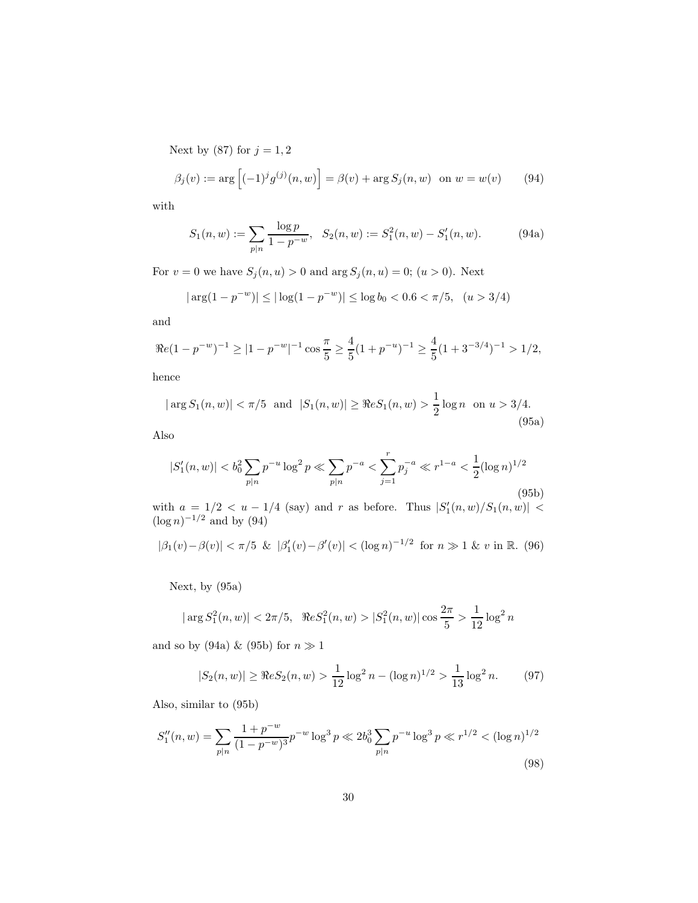Next by (87) for  $j=1,2$ 

$$
\beta_j(v) := \arg \left[ (-1)^j g^{(j)}(n, w) \right] = \beta(v) + \arg S_j(n, w) \text{ on } w = w(v) \quad (94)
$$

with

$$
S_1(n, w) := \sum_{p \mid n} \frac{\log p}{1 - p^{-w}}, \quad S_2(n, w) := S_1^2(n, w) - S_1'(n, w). \tag{94a}
$$

For  $v = 0$  we have  $S_j(n, u) > 0$  and  $\arg S_j(n, u) = 0$ ;  $(u > 0)$ . Next

$$
|\arg(1-p^{-w})| \leq |\log(1-p^{-w})| \leq \log b_0 < 0.6 < \pi/5
$$
,  $(u > 3/4)$ 

and

$$
\Re e(1 - p^{-w})^{-1} \ge |1 - p^{-w}|^{-1} \cos \frac{\pi}{5} \ge \frac{4}{5} (1 + p^{-w})^{-1} \ge \frac{4}{5} (1 + 3^{-3/4})^{-1} > 1/2,
$$

hence

$$
|\arg S_1(n, w)| < \pi/5
$$
 and  $|S_1(n, w)| \ge \Re e S_1(n, w) > \frac{1}{2} \log n$  on  $u > 3/4$ . (95a)

Also

$$
|S_1'(n, w)| < b_0^2 \sum_{p|n} p^{-u} \log^2 p \ll \sum_{p|n} p^{-a} < \sum_{j=1}^r p_j^{-a} \ll r^{1-a} < \frac{1}{2} (\log n)^{1/2}
$$
\n(95b)

with  $a = 1/2 < u - 1/4$  (say) and r as before. Thus  $|S'_1(n, w)/S_1(n, w)| <$  $(\log n)^{-1/2}$  and by (94)

$$
|\beta_1(v) - \beta(v)| < \pi/5 \ \& \ |\beta_1'(v) - \beta'(v)| < (\log n)^{-1/2} \ \text{for} \ n \gg 1 \ \& v \ \text{in} \ \mathbb{R}. \tag{96}
$$

Next, by (95a)

$$
|\arg S_1^2(n, w)| < 2\pi/5
$$
,  $\Re e S_1^2(n, w) > |S_1^2(n, w)| \cos \frac{2\pi}{5} > \frac{1}{12} \log^2 n$ 

and so by (94a) & (95b) for  $n \gg 1$ 

$$
|S_2(n, w)| \ge \Re e S_2(n, w) > \frac{1}{12} \log^2 n - (\log n)^{1/2} > \frac{1}{13} \log^2 n. \tag{97}
$$

Also, similar to (95b)

$$
S_1''(n, w) = \sum_{p|n} \frac{1 + p^{-w}}{(1 - p^{-w})^3} p^{-w} \log^3 p \ll 2b_0^3 \sum_{p|n} p^{-u} \log^3 p \ll r^{1/2} < (\log n)^{1/2}
$$
\n(98)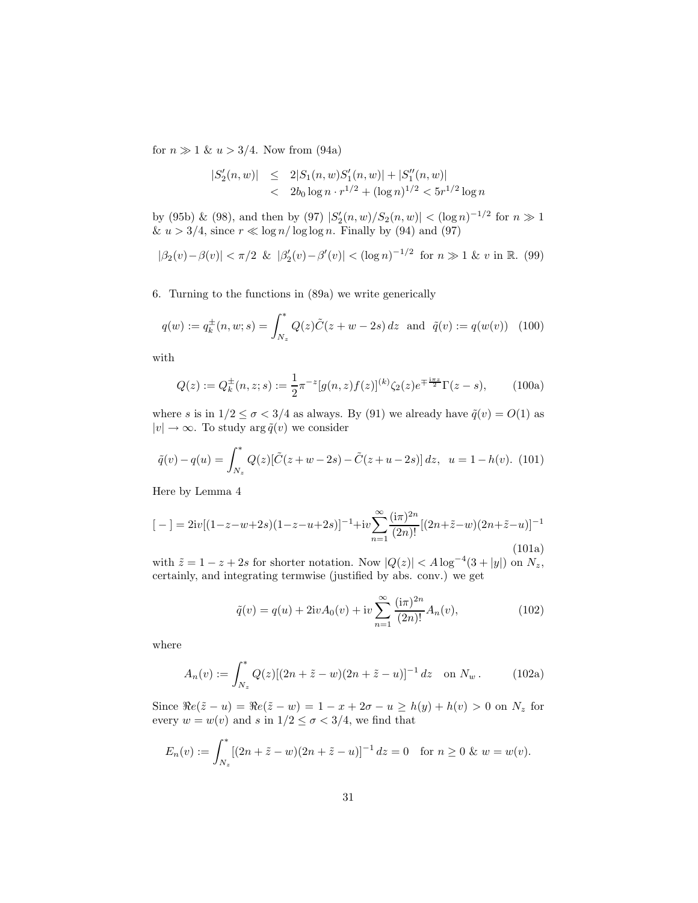for  $n \gg 1 \& u > 3/4$ . Now from (94a)

$$
|S'_2(n, w)| \leq 2|S_1(n, w)S'_1(n, w)| + |S''_1(n, w)|
$$
  

$$
< 2b_0 \log n \cdot r^{1/2} + (\log n)^{1/2} < 5r^{1/2} \log n
$$

by (95b) & (98), and then by (97)  $|S'_2(n,w)/S_2(n,w)| < (\log n)^{-1/2}$  for  $n \gg 1$ &  $u > 3/4$ , since  $r \ll \log n / \log \log n$ . Finally by (94) and (97)

$$
|\beta_2(v) - \beta(v)| < \pi/2 \ \& \ |\beta_2'(v) - \beta'(v)| < (\log n)^{-1/2} \ \text{for} \ n \gg 1 \ \& v \ \text{in} \ \mathbb{R}. \tag{99}
$$

6. Turning to the functions in (89a) we write generically

$$
q(w) := q_k^{\pm}(n, w; s) = \int_{N_z}^{\ast} Q(z)\tilde{C}(z + w - 2s) dz \text{ and } \tilde{q}(v) := q(w(v)) \quad (100)
$$

with

$$
Q(z) := Q_k^{\pm}(n, z; s) := \frac{1}{2} \pi^{-z} [g(n, z) f(z)]^{(k)} \zeta_2(z) e^{\mp \frac{i\pi z}{2}} \Gamma(z - s), \quad (100a)
$$

where s is in  $1/2 \leq \sigma < 3/4$  as always. By (91) we already have  $\tilde{q}(v) = O(1)$  as  $|v| \to \infty$ . To study  $\arg \tilde{q}(v)$  we consider

$$
\tilde{q}(v) - q(u) = \int_{N_z}^* Q(z) [\tilde{C}(z + w - 2s) - \tilde{C}(z + u - 2s)] dz, \ u = 1 - h(v). \tag{101}
$$

Here by Lemma 4

$$
[-] = 2iv[(1-z-w+2s)(1-z-u+2s)]^{-1} + iv \sum_{n=1}^{\infty} \frac{(i\pi)^{2n}}{(2n)!} [(2n+\tilde{z}-w)(2n+\tilde{z}-u)]^{-1}
$$
\n(101a)

with  $\tilde{z} = 1 - z + 2s$  for shorter notation. Now  $|Q(z)| < A \log^{-4}(3 + |y|)$  on  $N_z$ , certainly, and integrating termwise (justified by abs. conv.) we get

$$
\tilde{q}(v) = q(u) + 2ivA_0(v) + iv\sum_{n=1}^{\infty} \frac{(i\pi)^{2n}}{(2n)!} A_n(v),\tag{102}
$$

where

$$
A_n(v) := \int_{N_z}^* Q(z) [(2n + \tilde{z} - w)(2n + \tilde{z} - u)]^{-1} dz \text{ on } N_w.
$$
 (102a)

Since  $\Re e(\tilde{z} - u) = \Re e(\tilde{z} - w) = 1 - x + 2\sigma - u \ge h(y) + h(v) > 0$  on  $N_z$  for every  $w = w(v)$  and s in  $1/2 \le \sigma < 3/4$ , we find that

$$
E_n(v) := \int_{N_z}^{\infty} [(2n + \tilde{z} - w)(2n + \tilde{z} - u)]^{-1} dz = 0 \text{ for } n \ge 0 \& w = w(v).
$$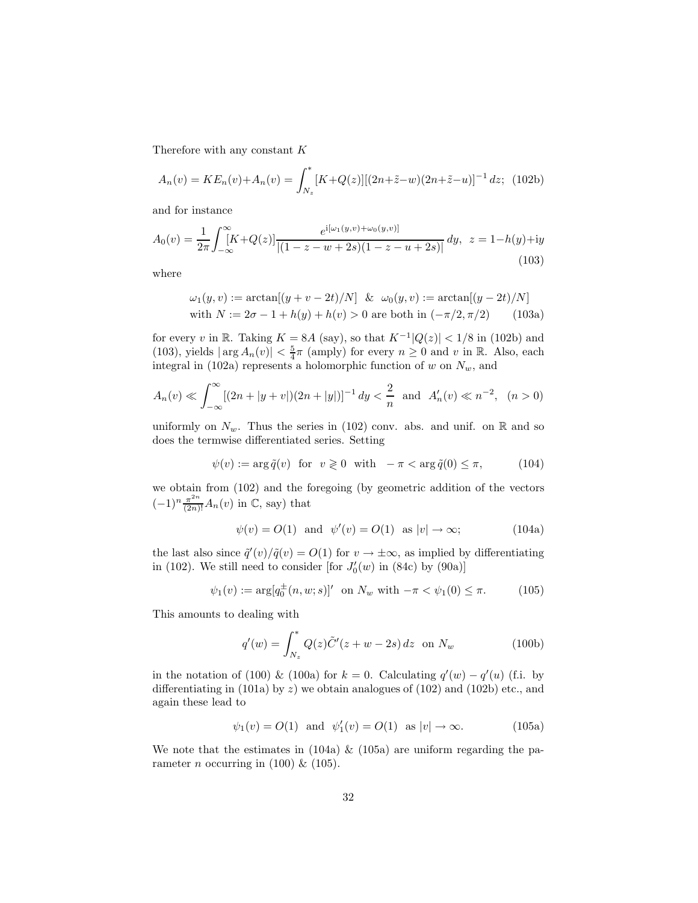Therefore with any constant K

$$
A_n(v) = KE_n(v) + A_n(v) = \int_{N_z}^{*} [K + Q(z)][(2n + \tilde{z} - w)(2n + \tilde{z} - u)]^{-1} dz; \tag{102b}
$$

and for instance

$$
A_0(v) = \frac{1}{2\pi} \int_{-\infty}^{\infty} [K + Q(z)] \frac{e^{i[\omega_1(y,v) + \omega_0(y,v)]}}{|(1 - z - w + 2s)(1 - z - u + 2s)|} dy, \ z = 1 - h(y) + iy
$$
\n(103)

where

$$
\omega_1(y, v) := \arctan[(y + v - 2t)/N] \& \omega_0(y, v) := \arctan[(y - 2t)/N]
$$
  
with  $N := 2\sigma - 1 + h(y) + h(v) > 0$  are both in  $(-\pi/2, \pi/2)$  (103a)

for every v in R. Taking  $K = 8A$  (say), so that  $K^{-1}|Q(z)| < 1/8$  in (102b) and (103), yields  $|\arg A_n(v)| < \frac{5}{4}\pi$  (amply) for every  $n \geq 0$  and v in  $\mathbb{R}$ . Also, each integral in (102a) represents a holomorphic function of w on  $N_w$ , and

$$
A_n(v) \ll \int_{-\infty}^{\infty} [(2n+|y+v|)(2n+|y|)]^{-1} dy < \frac{2}{n}
$$
 and  $A'_n(v) \ll n^{-2}$ ,  $(n > 0)$ 

uniformly on  $N_w$ . Thus the series in (102) conv. abs. and unif. on R and so does the termwise differentiated series. Setting

$$
\psi(v) := \arg \tilde{q}(v) \quad \text{for} \quad v \geq 0 \quad \text{with} \quad -\pi < \arg \tilde{q}(0) \leq \pi,\tag{104}
$$

we obtain from (102) and the foregoing (by geometric addition of the vectors  $(-1)^n \frac{\pi^{2n}}{(2n)!} A_n(v)$  in  $\mathbb{C}$ , say) that

$$
\psi(v) = O(1) \quad \text{and} \quad \psi'(v) = O(1) \quad \text{as } |v| \to \infty; \tag{104a}
$$

the last also since  $\tilde{q}'(v)/\tilde{q}(v) = O(1)$  for  $v \to \pm \infty$ , as implied by differentiating in (102). We still need to consider [for  $J'_0(w)$  in (84c) by (90a)]

$$
\psi_1(v) := \arg[q_0^{\pm}(n, w; s)]' \text{ on } N_w \text{ with } -\pi < \psi_1(0) \le \pi. \tag{105}
$$

This amounts to dealing with

$$
q'(w) = \int_{N_z}^{*} Q(z)\tilde{C}'(z+w-2s) dz \text{ on } N_w
$$
 (100b)

in the notation of (100) & (100a) for  $k = 0$ . Calculating  $q'(w) - q'(u)$  (f.i. by differentiating in  $(101a)$  by z) we obtain analogues of  $(102)$  and  $(102b)$  etc., and again these lead to

$$
\psi_1(v) = O(1)
$$
 and  $\psi'_1(v) = O(1)$  as  $|v| \to \infty$ . (105a)

We note that the estimates in  $(104a) \& (105a)$  are uniform regarding the parameter *n* occurring in (100) & (105).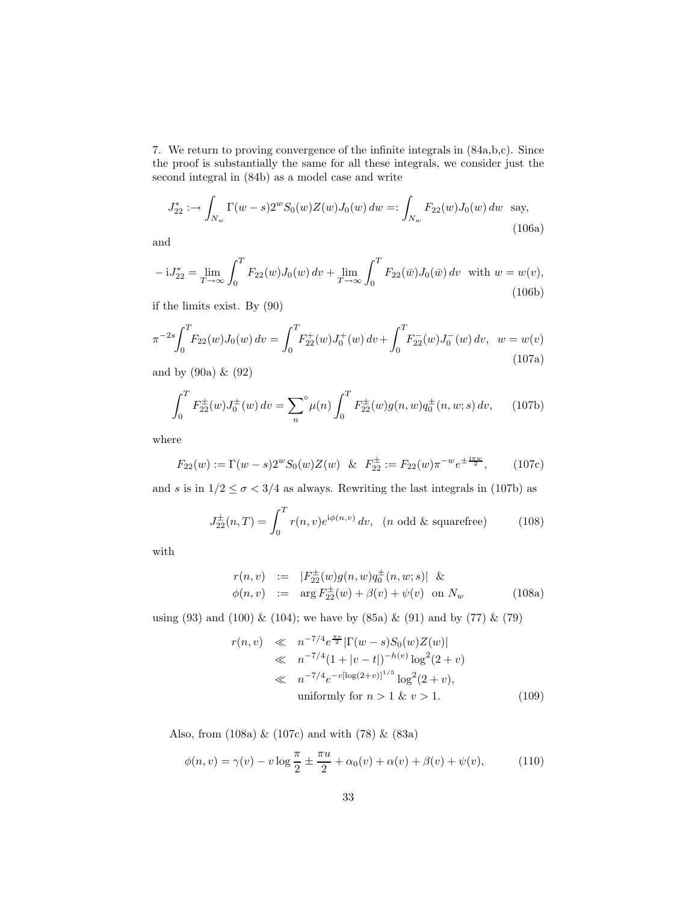7. We return to proving convergence of the infinite integrals in (84a,b,c). Since the proof is substantially the same for all these integrals, we consider just the second integral in (84b) as a model case and write

$$
J_{22}^* := \int_{N_w} \Gamma(w - s) 2^w S_0(w) Z(w) J_0(w) dw =: \int_{N_w} F_{22}(w) J_0(w) dw \text{ say,}
$$
\n(106a)

and

$$
-iJ_{22}^{*} = \lim_{T \to \infty} \int_{0}^{T} F_{22}(w)J_{0}(w) dv + \lim_{T \to \infty} \int_{0}^{T} F_{22}(\bar{w})J_{0}(\bar{w}) dv \text{ with } w = w(v),
$$
\n(106b)

if the limits exist. By (90)

$$
\pi^{-2s} \int_0^T F_{22}(w) J_0(w) \, dv = \int_0^T F_{22}^+(w) J_0^+(w) \, dv + \int_0^T F_{22}^-(w) J_0^-(w) \, dv, \quad w = w(v) \tag{107a}
$$

and by (90a) & (92)

$$
\int_0^T F_{22}^{\pm}(w)J_0^{\pm}(w) dv = \sum_n^{\circ} \mu(n) \int_0^T F_{22}^{\pm}(w)g(n,w)q_0^{\pm}(n,w;s) dv, \qquad (107b)
$$

where

$$
F_{22}(w) := \Gamma(w - s)2^w S_0(w) Z(w) \& F_{22}^{\pm} := F_{22}(w) \pi^{-w} e^{\pm \frac{i\pi w}{2}}, \quad (107c)
$$

and s is in  $1/2 \le \sigma < 3/4$  as always. Rewriting the last integrals in (107b) as

$$
J_{22}^{\pm}(n,T) = \int_0^T r(n,v)e^{i\phi(n,v)} dv, \quad (n \text{ odd } \& \text{ squarefree})
$$
 (108)

with

$$
r(n, v) := |F_{22}^{\pm}(w)g(n, w)q_0^{\pm}(n, w; s)| \&\phi(n, v) := \arg F_{22}^{\pm}(w) + \beta(v) + \psi(v) \text{ on } N_w
$$
\n(108a)

using (93) and (100) & (104); we have by (85a) & (91) and by (77) & (79)

$$
r(n, v) \ll n^{-7/4} e^{\frac{\pi v}{2}} |\Gamma(w - s)S_0(w)Z(w)|
$$
  
\n
$$
\ll n^{-7/4} (1 + |v - t|)^{-h(v)} \log^2(2 + v)
$$
  
\n
$$
\ll n^{-7/4} e^{-c[\log(2 + v)]^{1/5}} \log^2(2 + v),
$$
  
\nuniformly for  $n > 1$  &  $v > 1$ . (109)

Also, from (108a) & (107c) and with (78) & (83a)

$$
\phi(n, v) = \gamma(v) - v \log \frac{\pi}{2} \pm \frac{\pi u}{2} + \alpha_0(v) + \alpha(v) + \beta(v) + \psi(v), \tag{110}
$$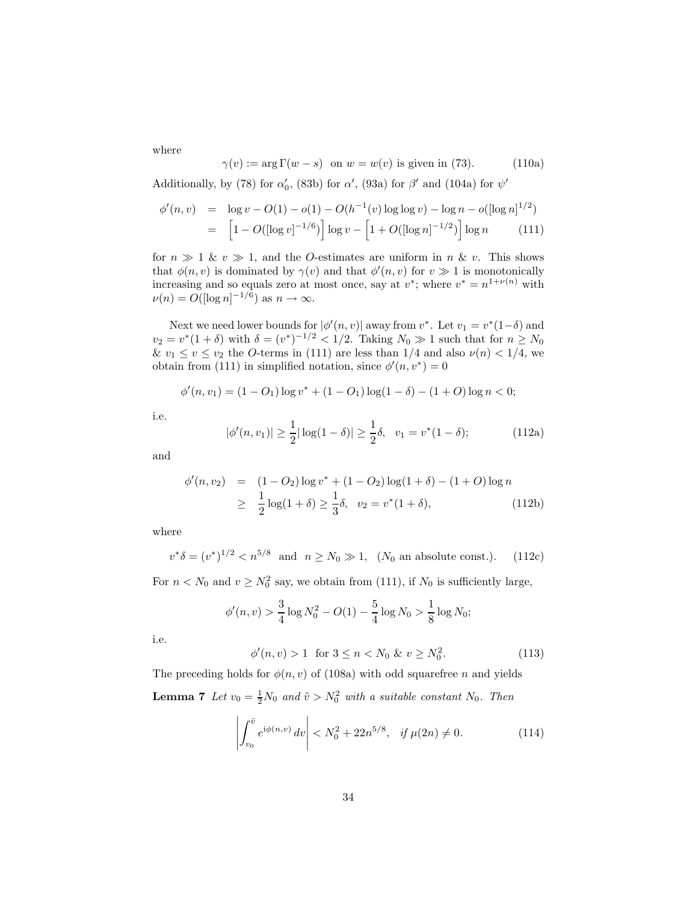where

$$
\gamma(v) := \arg \Gamma(w - s) \quad \text{on } w = w(v) \text{ is given in (73).} \tag{110a}
$$

Additionally, by (78) for  $\alpha_0'$ , (83b) for  $\alpha'$ , (93a) for  $\beta'$  and (104a) for  $\psi'$ 

$$
\begin{array}{rcl}\n\phi'(n,v) & = & \log v - O(1) - o(1) - O(h^{-1}(v) \log \log v) - \log n - o(\log n)^{1/2} \\
& = & \left[1 - O(\log v)^{-1/6}\right] \log v - \left[1 + O(\log n)^{-1/2}\right] \log n \tag{111}\n\end{array}
$$

for  $n \gg 1$  &  $v \gg 1$ , and the *O*-estimates are uniform in *n* & *v*. This shows that  $\phi(n, v)$  is dominated by  $\gamma(v)$  and that  $\phi'(n, v)$  for  $v \gg 1$  is monotonically increasing and so equals zero at most once, say at  $v^*$ ; where  $v^* = n^{1+\nu(n)}$  with  $\nu(n) = O(|\log n|^{-1/6})$  as  $n \to \infty$ .

Next we need lower bounds for  $|\phi'(n,v)|$  away from  $v^*$ . Let  $v_1 = v^*(1-\delta)$  and  $v_2 = v^*(1+\delta)$  with  $\delta = (v^*)^{-1/2} < 1/2$ . Taking  $N_0 \gg 1$  such that for  $n \ge N_0$ &  $v_1 \le v \le v_2$  the O-terms in (111) are less than 1/4 and also  $\nu(n) < 1/4$ , we obtain from (111) in simplified notation, since  $\phi'(n, v^*) = 0$ 

$$
\phi'(n, v_1) = (1 - O_1) \log v^* + (1 - O_1) \log(1 - \delta) - (1 + O) \log n < 0;
$$

i.e.

$$
|\phi'(n, v_1)| \ge \frac{1}{2} |\log(1 - \delta)| \ge \frac{1}{2}\delta, \quad v_1 = v^*(1 - \delta); \tag{112a}
$$

and

$$
\begin{array}{rcl}\n\phi'(n, v_2) & = & (1 - O_2) \log v^* + (1 - O_2) \log(1 + \delta) - (1 + O) \log n \\
& \geq & \frac{1}{2} \log(1 + \delta) \geq \frac{1}{3} \delta, \quad v_2 = v^*(1 + \delta),\n\end{array} \tag{112b}
$$

where

$$
v^* \delta = (v^*)^{1/2} < n^{5/8}
$$
 and  $n \ge N_0 \gg 1$ , ( $N_0$  an absolute const.). (112c)

For  $n < N_0$  and  $v \ge N_0^2$  say, we obtain from (111), if  $N_0$  is sufficiently large,

$$
\phi'(n,v) > \frac{3}{4}\log N_0^2 - O(1) - \frac{5}{4}\log N_0 > \frac{1}{8}\log N_0;
$$

i.e.

$$
\phi'(n, v) > 1 \quad \text{for } 3 \le n < N_0 \, \& v \ge N_0^2. \tag{113}
$$

The preceding holds for  $\phi(n, v)$  of (108a) with odd squarefree n and yields **Lemma 7** Let  $v_0 = \frac{1}{2}N_0$  and  $\tilde{v} > N_0^2$  with a suitable constant  $N_0$ . Then

$$
\left| \int_{v_0}^{\tilde{v}} e^{i\phi(n,v)} dv \right| < N_0^2 + 22n^{5/8}, \quad \text{if } \mu(2n) \neq 0. \tag{114}
$$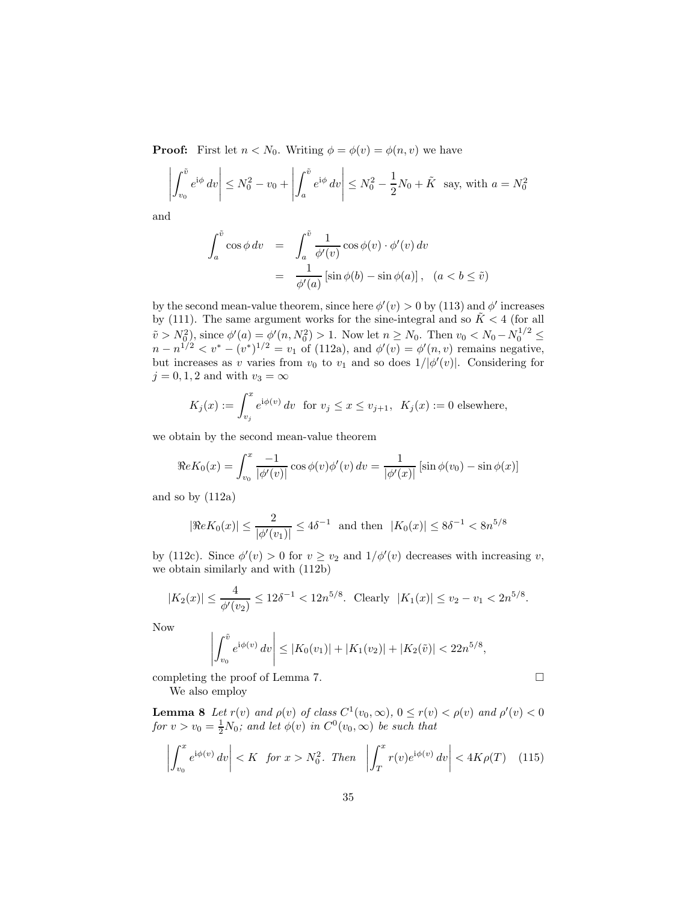**Proof:** First let  $n < N_0$ . Writing  $\phi = \phi(v) = \phi(n, v)$  we have

$$
\left| \int_{v_0}^{\tilde{v}} e^{i\phi} dv \right| \le N_0^2 - v_0 + \left| \int_a^{\tilde{v}} e^{i\phi} dv \right| \le N_0^2 - \frac{1}{2} N_0 + \tilde{K} \text{ say, with } a = N_0^2
$$

and

$$
\int_{a}^{\tilde{v}} \cos \phi \, dv = \int_{a}^{\tilde{v}} \frac{1}{\phi'(v)} \cos \phi(v) \cdot \phi'(v) \, dv
$$

$$
= \frac{1}{\phi'(a)} \left[ \sin \phi(b) - \sin \phi(a) \right], \quad (a < b \le \tilde{v})
$$

by the second mean-value theorem, since here  $\phi'(v) > 0$  by (113) and  $\phi'$  increases by (111). The same argument works for the sine-integral and so  $\tilde{K} < 4$  (for all  $\tilde{v} > N_0^2$ , since  $\phi'(a) = \phi'(n, N_0^2) > 1$ . Now let  $n \ge N_0$ . Then  $v_0 < N_0 - N_0^{1/2} \le N_0$  $n - n^{1/2} < v^* - (v^*)^{1/2} = v_1$  of (112a), and  $\phi'(v) = \phi'(n, v)$  remains negative, but increases as v varies from  $v_0$  to  $v_1$  and so does  $1/|\phi'(v)|$ . Considering for  $j = 0, 1, 2$  and with  $v_3 = \infty$ 

$$
K_j(x) := \int_{v_j}^x e^{i\phi(v)} dv \text{ for } v_j \le x \le v_{j+1}, \ K_j(x) := 0 \text{ elsewhere},
$$

we obtain by the second mean-value theorem

$$
\Re e K_0(x) = \int_{v_0}^x \frac{-1}{|\phi'(v)|} \cos \phi(v) \phi'(v) \, dv = \frac{1}{|\phi'(x)|} \left[ \sin \phi(v_0) - \sin \phi(x) \right]
$$

and so by (112a)

$$
|\Re eK_0(x)| \le \frac{2}{|\phi'(v_1)|} \le 4\delta^{-1}
$$
 and then  $|K_0(x)| \le 8\delta^{-1} < 8n^{5/8}$ 

by (112c). Since  $\phi'(v) > 0$  for  $v \ge v_2$  and  $1/\phi'(v)$  decreases with increasing v, we obtain similarly and with (112b)

$$
|K_2(x)| \le \frac{4}{\phi'(v_2)} \le 12\delta^{-1} < 12n^{5/8}. \quad \text{Clearly} \quad |K_1(x)| \le v_2 - v_1 < 2n^{5/8}.
$$

Now

$$
\left| \int_{v_0}^{\tilde{v}} e^{i\phi(v)} dv \right| \le |K_0(v_1)| + |K_1(v_2)| + |K_2(\tilde{v})| < 22n^{5/8},
$$

completing the proof of Lemma 7. We also employ

**Lemma 8** Let  $r(v)$  and  $\rho(v)$  of class  $C^1(v_0, \infty)$ ,  $0 \le r(v) < \rho(v)$  and  $\rho'(v) < 0$ for  $v > v_0 = \frac{1}{2}N_0$ ; and let  $\phi(v)$  in  $C^0(v_0, \infty)$  be such that

$$
\left| \int_{v_0}^x e^{i\phi(v)} dv \right| < K \quad \text{for } x > N_0^2. \quad \text{Then} \quad \left| \int_T^x r(v) e^{i\phi(v)} dv \right| < 4K\rho(T) \quad (115)
$$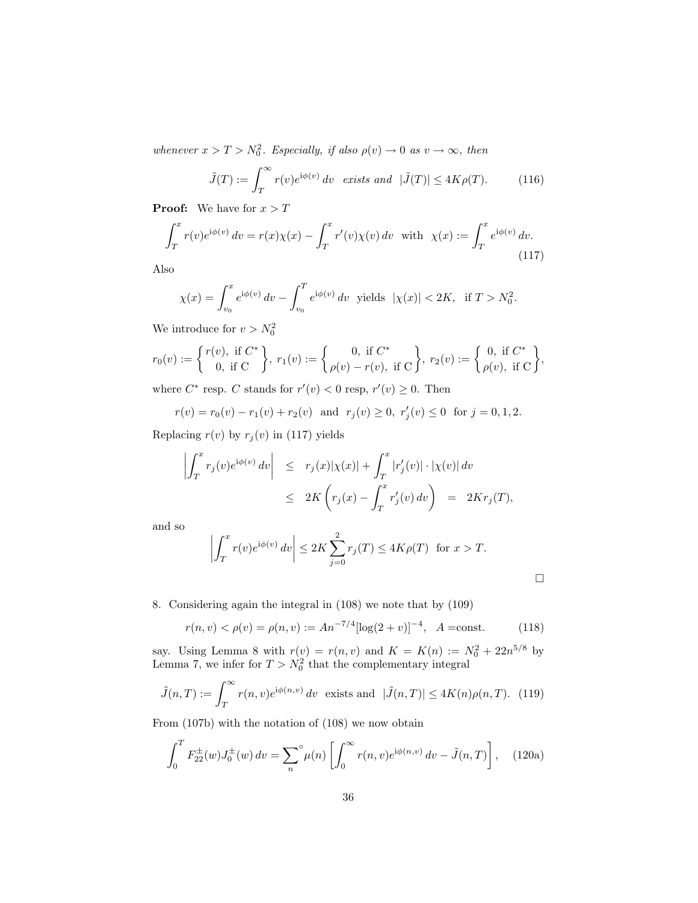whenever  $x > T > N_0^2$ . Especially, if also  $\rho(v) \to 0$  as  $v \to \infty$ , then

$$
\tilde{J}(T) := \int_{T}^{\infty} r(v)e^{i\phi(v)} dv \text{ exists and } |\tilde{J}(T)| \le 4K\rho(T). \tag{116}
$$

**Proof:** We have for  $x > T$ 

$$
\int_{T}^{x} r(v)e^{i\phi(v)} dv = r(x)\chi(x) - \int_{T}^{x} r'(v)\chi(v) dv \text{ with } \chi(x) := \int_{T}^{x} e^{i\phi(v)} dv.
$$
\n(117)

Also

$$
\chi(x) = \int_{v_0}^x e^{i\phi(v)} dv - \int_{v_0}^T e^{i\phi(v)} dv \text{ yields } |\chi(x)| < 2K, \text{ if } T > N_0^2.
$$

We introduce for  $v > N_0^2$ 

$$
r_0(v) := \begin{cases} r(v), & \text{if } C^* \\ 0, & \text{if } C \end{cases}, r_1(v) := \begin{cases} 0, & \text{if } C^* \\ \rho(v) - r(v), & \text{if } C \end{cases}, r_2(v) := \begin{cases} 0, & \text{if } C^* \\ \rho(v), & \text{if } C \end{cases},
$$

where  $C^*$  resp. C stands for  $r'(v) < 0$  resp,  $r'(v) \geq 0$ . Then

$$
r(v) = r_0(v) - r_1(v) + r_2(v)
$$
 and  $r_j(v) \ge 0$ ,  $r'_j(v) \le 0$  for  $j = 0, 1, 2$ .

Replacing  $r(v)$  by  $r_j(v)$  in (117) yields

$$
\left| \int_T^x r_j(v) e^{i\phi(v)} dv \right| \leq r_j(x) |\chi(x)| + \int_T^x |r'_j(v)| \cdot |\chi(v)| dv
$$
  

$$
\leq 2K \left( r_j(x) - \int_T^x r'_j(v) dv \right) = 2K r_j(T),
$$

and so

$$
\left| \int_T^x r(v)e^{i\phi(v)} dv \right| \le 2K \sum_{j=0}^2 r_j(T) \le 4K\rho(T) \text{ for } x > T.
$$

 $\Box$ 

8. Considering again the integral in (108) we note that by (109)

$$
r(n, v) < \rho(v) = \rho(n, v) := A n^{-7/4} [\log(2 + v)]^{-4}, \quad A = \text{const.} \tag{118}
$$

say. Using Lemma 8 with  $r(v) = r(n, v)$  and  $K = K(n) := N_0^2 + 22n^{5/8}$  by Lemma 7, we infer for  $T > N_0^2$  that the complementary integral

$$
\tilde{J}(n,T) := \int_T^{\infty} r(n,v)e^{i\phi(n,v)} dv \text{ exists and } |\tilde{J}(n,T)| \le 4K(n)\rho(n,T). \tag{119}
$$

From (107b) with the notation of (108) we now obtain

$$
\int_0^T F_{22}^{\pm}(w) J_0^{\pm}(w) \, dv = \sum_n^{\circ} \mu(n) \left[ \int_0^{\infty} r(n,v) e^{i\phi(n,v)} \, dv - \tilde{J}(n,T) \right], \quad (120a)
$$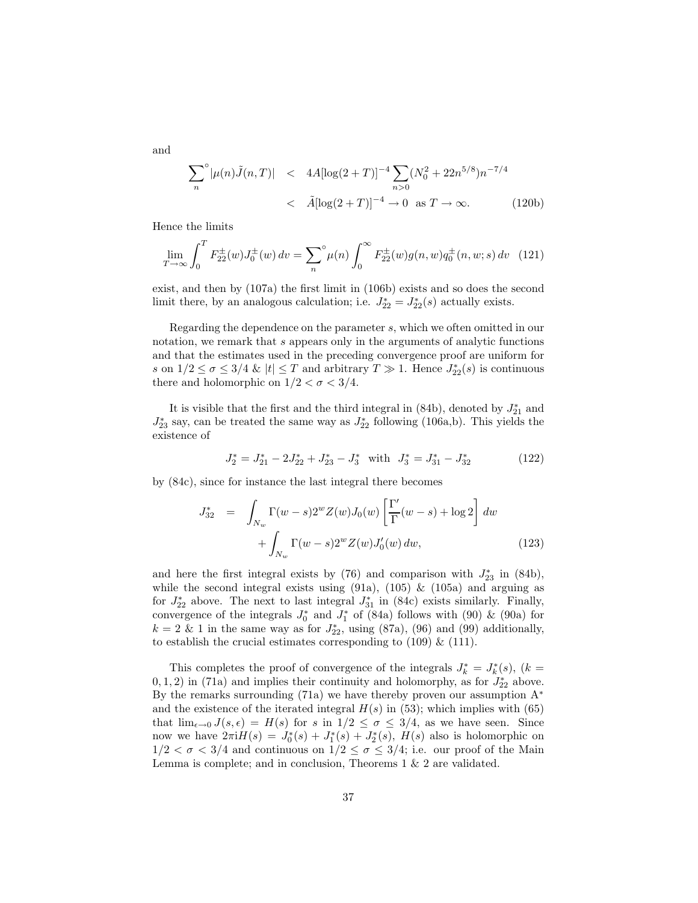and

$$
\sum_{n}^{\infty} |\mu(n)\tilde{J}(n,T)| \quad < \quad 4A[\log(2+T)]^{-4} \sum_{n>0} (N_0^2 + 22n^{5/8})n^{-7/4} \\
 < \quad \tilde{A}[\log(2+T)]^{-4} \to 0 \quad \text{as } T \to \infty. \tag{120b}
$$

Hence the limits

$$
\lim_{T \to \infty} \int_0^T F_{22}^{\pm}(w) J_0^{\pm}(w) \, dv = \sum_n^{\infty} \mu(n) \int_0^{\infty} F_{22}^{\pm}(w) g(n, w) q_0^{\pm}(n, w; s) \, dv \tag{121}
$$

exist, and then by (107a) the first limit in (106b) exists and so does the second limit there, by an analogous calculation; i.e.  $J_{22}^* = J_{22}^*(s)$  actually exists.

Regarding the dependence on the parameter s, which we often omitted in our notation, we remark that s appears only in the arguments of analytic functions and that the estimates used in the preceding convergence proof are uniform for s on  $1/2 \leq \sigma \leq 3/4$  &  $|t| \leq T$  and arbitrary  $T \gg 1$ . Hence  $J_{22}^*(s)$  is continuous there and holomorphic on  $1/2 < \sigma < 3/4$ .

It is visible that the first and the third integral in (84b), denoted by  $J_{21}^*$  and  $J_{23}^*$  say, can be treated the same way as  $J_{22}^*$  following (106a,b). This yields the existence of

$$
J_2^* = J_{21}^* - 2J_{22}^* + J_{23}^* - J_3^* \quad \text{with} \quad J_3^* = J_{31}^* - J_{32}^* \tag{122}
$$

by (84c), since for instance the last integral there becomes

$$
J_{32}^* = \int_{N_w} \Gamma(w - s) 2^w Z(w) J_0(w) \left[ \frac{\Gamma'}{\Gamma}(w - s) + \log 2 \right] dw
$$
  
+ 
$$
\int_{N_w} \Gamma(w - s) 2^w Z(w) J'_0(w) dw,
$$
 (123)

and here the first integral exists by  $(76)$  and comparison with  $J_{23}^*$  in  $(84b)$ , while the second integral exists using  $(91a)$ ,  $(105)$  &  $(105a)$  and arguing as for  $J_{22}^*$  above. The next to last integral  $J_{31}^*$  in (84c) exists similarly. Finally, convergence of the integrals  $J_0^*$  and  $J_1^*$  of (84a) follows with (90) & (90a) for  $k = 2 \& 1$  in the same way as for  $J_{22}^*$ , using (87a), (96) and (99) additionally, to establish the crucial estimates corresponding to  $(109) \& (111)$ .

This completes the proof of convergence of the integrals  $J_k^* = J_k^*(s)$ ,  $(k =$  $(0, 1, 2)$  in (71a) and implies their continuity and holomorphy, as for  $J_{22}^*$  above. By the remarks surrounding (71a) we have thereby proven our assumption  $A^*$ and the existence of the iterated integral  $H(s)$  in (53); which implies with (65) that  $\lim_{\epsilon \to 0} J(s, \epsilon) = H(s)$  for s in  $1/2 \le \sigma \le 3/4$ , as we have seen. Since now we have  $2\pi i H(s) = J_0^*(s) + J_1^*(s) + J_2^*(s)$ ,  $H(s)$  also is holomorphic on  $1/2 < \sigma < 3/4$  and continuous on  $1/2 \leq \sigma \leq 3/4$ ; i.e. our proof of the Main Lemma is complete; and in conclusion, Theorems 1 & 2 are validated.